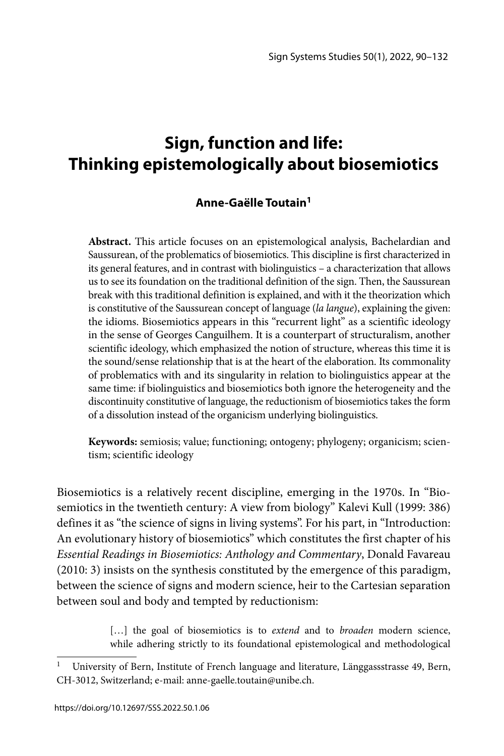# **Sign, function and life: Thinking epistemologically about biosemiotics**

### **Anne-Gaëlle Toutain1**

**Abstract.** This article focuses on an epistemological analysis, Bachelardian and Saussurean, of the problematics of biosemiotics. This discipline is first characterized in its general features, and in contrast with biolinguistics – a characterization that allows us to see its foundation on the traditional definition of the sign. Then, the Saussurean break with this traditional definition is explained, and with it the theorization which is constitutive of the Saussurean concept of language (*la langue*), explaining the given: the idioms. Biosemiotics appears in this "recurrent light" as a scientific ideology in the sense of Georges Canguilhem. It is a counterpart of structuralism, another scientific ideology, which emphasized the notion of structure, whereas this time it is the sound/sense relationship that is at the heart of the elaboration. Its commonality of problematics with and its singularity in relation to biolinguistics appear at the same time: if biolinguistics and biosemiotics both ignore the heterogeneity and the discontinuity constitutive of language, the reductionism of biosemiotics takes the form of a dissolution instead of the organicism underlying biolinguistics.

**Keywords:** semiosis; value; functioning; ontogeny; phylogeny; organicism; scientism; scientific ideology

Biosemiotics is a relatively recent discipline, emerging in the 1970s. In "Biosemiotics in the twentieth century: A view from biology" Kalevi Kull (1999: 386) defines it as "the science of signs in living systems". For his part, in "Introduction: An evolutionary history of biosemiotics" which constitutes the first chapter of his *Essential Readings in Biosemiotics: Anthology and Commentary*, Donald Favareau (2010: 3) insists on the synthesis constituted by the emergence of this paradigm, between the science of signs and modern science, heir to the Cartesian separation between soul and body and tempted by reductionism:

> [...] the goal of biosemiotics is to *extend* and to *broaden* modern science, while adhering strictly to its foundational epistemological and methodological

University of Bern, Institute of French language and literature, Länggassstrasse 49, Bern, CH-3012, Switzerland; e-mail: anne-gaelle.toutain@unibe.ch.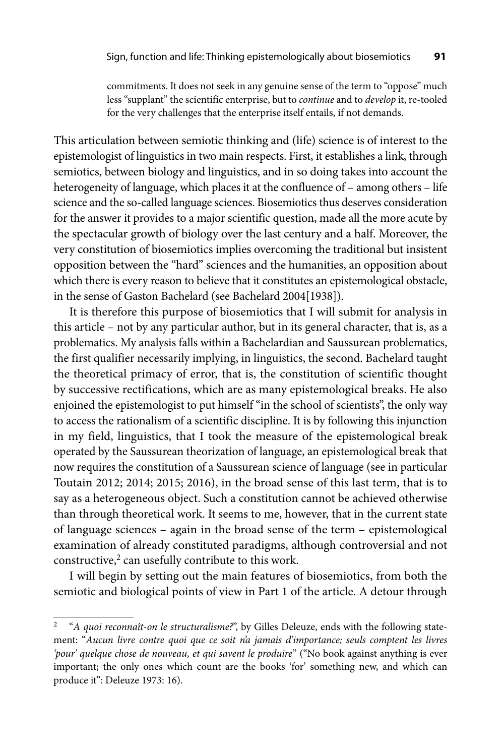commitments. It does not seek in any genuine sense of the term to "oppose" much less "supplant" the scientific enterprise, but to *continue* and to *develop* it, re-tooled for the very challenges that the enterprise itself entails, if not demands.

This articulation between semiotic thinking and (life) science is of interest to the epistemologist of linguistics in two main respects. First, it establishes a link, through semiotics, between biology and linguistics, and in so doing takes into account the heterogeneity of language, which places it at the confluence of – among others – life science and the so-called language sciences. Biosemiotics thus deserves consideration for the answer it provides to a major scientific question, made all the more acute by the spectacular growth of biology over the last century and a half. Moreover, the very constitution of biosemiotics implies overcoming the traditional but insistent opposition between the "hard" sciences and the humanities, an opposition about which there is every reason to believe that it constitutes an epistemological obstacle, in the sense of Gaston Bachelard (see Bachelard 2004[1938]).

It is therefore this purpose of biosemiotics that I will submit for analysis in this article – not by any particular author, but in its general character, that is, as a problematics. My analysis falls within a Bachelardian and Saussurean problematics, the first qualifier necessarily implying, in linguistics, the second. Bachelard taught the theoretical primacy of error, that is, the constitution of scientific thought by successive rectifications, which are as many epistemological breaks. He also enjoined the epistemologist to put himself "in the school of scientists", the only way to access the rationalism of a scientific discipline. It is by following this injunction in my field, linguistics, that I took the measure of the epistemological break operated by the Saussurean theorization of language, an epistemological break that now requires the constitution of a Saussurean science of language (see in particular Toutain 2012; 2014; 2015; 2016), in the broad sense of this last term, that is to say as a heterogeneous object. Such a constitution cannot be achieved otherwise than through theoretical work. It seems to me, however, that in the current state of language sciences – again in the broad sense of the term – epistemological examination of already constituted paradigms, although controversial and not constructive, $2$  can usefully contribute to this work.

I will begin by setting out the main features of biosemiotics, from both the semiotic and biological points of view in Part 1 of the article. A detour through

<sup>&</sup>quot;A quoi reconnaît-on le structuralisme?", by Gilles Deleuze, ends with the following statement: "*Aucun livre contre quoi que ce soit n'a jamais d'importance; seuls comptent les livres 'pour' quelque chose de nouveau, et qui savent le produire*" ("No book against anything is ever important; the only ones which count are the books 'for' something new, and which can produce it": Deleuze 1973: 16).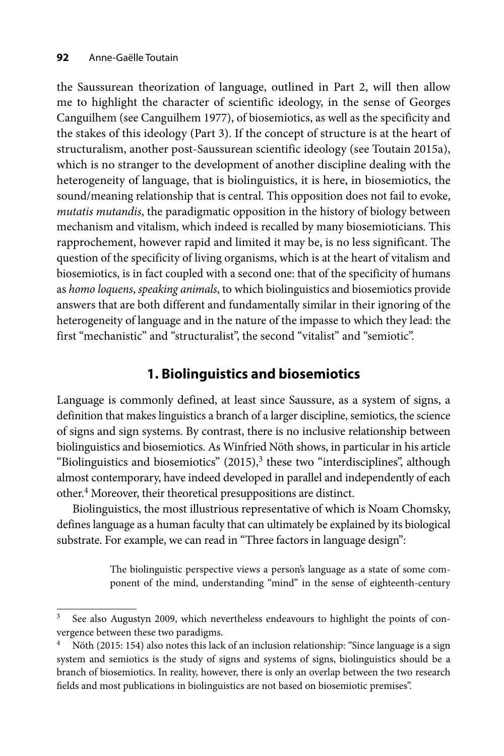the Saussurean theorization of language, outlined in Part 2, will then allow me to highlight the character of scientific ideology, in the sense of Georges Canguilhem (see Canguilhem 1977), of biosemiotics, as well as the specificity and the stakes of this ideology (Part 3). If the concept of structure is at the heart of structuralism, another post-Saussurean scientific ideology (see Toutain 2015a), which is no stranger to the development of another discipline dealing with the heterogeneity of language, that is biolinguistics, it is here, in biosemiotics, the sound/meaning relationship that is central. This opposition does not fail to evoke, *mutatis mutandis*, the paradigmatic opposition in the history of biology between mechanism and vitalism, which indeed is recalled by many biosemioticians. This rapprochement, however rapid and limited it may be, is no less significant. The question of the specificity of living organisms, which is at the heart of vitalism and biosemiotics, is in fact coupled with a second one: that of the specificity of humans as *homo loquens*, *speaking animals*, to which biolinguistics and biosemiotics provide answers that are both different and fundamentally similar in their ignoring of the heterogeneity of language and in the nature of the impasse to which they lead: the first "mechanistic" and "structuralist", the second "vitalist" and "semiotic".

# **1. Biolinguistics and biosemiotics**

Language is commonly defined, at least since Saussure, as a system of signs, a definition that makes linguistics a branch of a larger discipline, semiotics, the science of signs and sign systems. By contrast, there is no inclusive relationship between biolinguistics and biosemiotics. As Winfried Nöth shows, in particular in his article "Biolinguistics and biosemiotics"  $(2015)$ , these two "interdisciplines", although almost contemporary, have indeed developed in parallel and independently of each other.4 Moreover, their theoretical presuppositions are distinct.

Biolinguistics, the most illustrious representative of which is Noam Chomsky, defines language as a human faculty that can ultimately be explained by its biological substrate. For example, we can read in "Three factors in language design":

> The biolinguistic perspective views a person's language as a state of some component of the mind, understanding "mind" in the sense of eighteenth-century

<sup>&</sup>lt;sup>3</sup> See also Augustyn 2009, which nevertheless endeavours to highlight the points of convergence between these two paradigms.

Nöth (2015: 154) also notes this lack of an inclusion relationship: "Since language is a sign system and semiotics is the study of signs and systems of signs, biolinguistics should be a branch of biosemiotics. In reality, however, there is only an overlap between the two research fields and most publications in biolinguistics are not based on biosemiotic premises".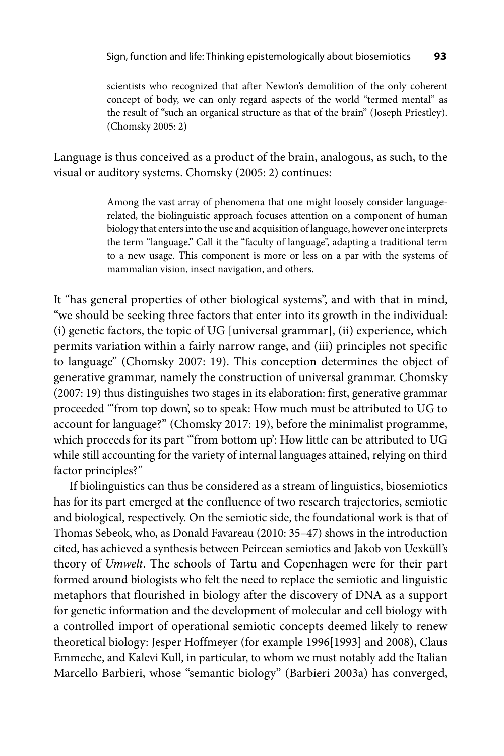scientists who recognized that after Newton's demolition of the only coherent concept of body, we can only regard aspects of the world "termed mental" as the result of "such an organical structure as that of the brain" (Joseph Priestley). (Chomsky 2005: 2)

Language is thus conceived as a product of the brain, analogous, as such, to the visual or auditory systems. Chomsky (2005: 2) continues:

> Among the vast array of phenomena that one might loosely consider languagerelated, the biolinguistic approach focuses attention on a component of human biology that enters into the use and acquisition of language, however one interprets the term "language." Call it the "faculty of language", adapting a traditional term to a new usage. This component is more or less on a par with the systems of mammalian vision, insect navigation, and others.

It "has general properties of other biological systems", and with that in mind, "we should be seeking three factors that enter into its growth in the individual: (i) genetic factors, the topic of UG [universal grammar], (ii) experience, which permits variation within a fairly narrow range, and (iii) principles not specific to language" (Chomsky 2007: 19). This conception determines the object of generative grammar, namely the construction of universal grammar. Chomsky (2007: 19) thus distinguishes two stages in its elaboration: first, generative grammar proceeded "'from top down', so to speak: How much must be attributed to UG to account for language?" (Chomsky 2017: 19), before the minimalist programme, which proceeds for its part "from bottom up': How little can be attributed to UG while still accounting for the variety of internal languages attained, relying on third factor principles?"

If biolinguistics can thus be considered as a stream of linguistics, biosemiotics has for its part emerged at the confluence of two research trajectories, semiotic and biological, respectively. On the semiotic side, the foundational work is that of Thomas Sebeok, who, as Donald Favareau (2010: 35–47) shows in the introduction cited, has achieved a synthesis between Peircean semiotics and Jakob von Uexküll's theory of *Umwelt*. The schools of Tartu and Copenhagen were for their part formed around biologists who felt the need to replace the semiotic and linguistic metaphors that flourished in biology after the discovery of DNA as a support for genetic information and the development of molecular and cell biology with a controlled import of operational semiotic concepts deemed likely to renew theoretical biology: Jesper Hoffmeyer (for example 1996[1993] and 2008), Claus Emmeche, and Kalevi Kull, in particular, to whom we must notably add the Italian Marcello Barbieri, whose "semantic biology" (Barbieri 2003a) has converged,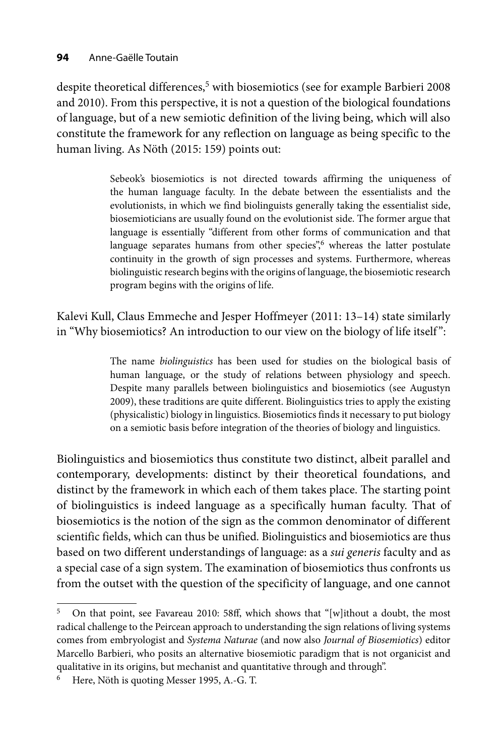despite theoretical differences,<sup>5</sup> with biosemiotics (see for example Barbieri 2008 and 2010). From this perspective, it is not a question of the biological foundations of language, but of a new semiotic definition of the living being, which will also constitute the framework for any reflection on language as being specific to the human living. As Nöth (2015: 159) points out:

> Sebeok's biosemiotics is not directed towards affirming the uniqueness of the human language faculty. In the debate between the essentialists and the evolutionists, in which we find biolinguists generally taking the essentialist side, biosemioticians are usually found on the evolutionist side. The former argue that language is essentially "different from other forms of communication and that language separates humans from other species",<sup>6</sup> whereas the latter postulate continuity in the growth of sign processes and systems. Furthermore, whereas biolinguistic research begins with the origins of language, the biosemiotic research program begins with the origins of life.

Kalevi Kull, Claus Emmeche and Jesper Hoffmeyer (2011: 13–14) state similarly in "Why biosemiotics? An introduction to our view on the biology of life itself":

> The name *biolinguistics* has been used for studies on the biological basis of human language, or the study of relations between physiology and speech. Despite many parallels between biolinguistics and biosemiotics (see Augustyn 2009), these traditions are quite different. Biolinguistics tries to apply the existing (physicalistic) biology in linguistics. Biosemiotics finds it necessary to put biology on a semiotic basis before integration of the theories of biology and linguistics.

Biolinguistics and biosemiotics thus constitute two distinct, albeit parallel and contemporary, developments: distinct by their theoretical foundations, and distinct by the framework in which each of them takes place. The starting point of biolinguistics is indeed language as a specifically human faculty. That of biosemiotics is the notion of the sign as the common denominator of different scientific fields, which can thus be unified. Biolinguistics and biosemiotics are thus based on two different understandings of language: as a *sui generis* faculty and as a special case of a sign system. The examination of biosemiotics thus confronts us from the outset with the question of the specificity of language, and one cannot

<sup>&</sup>lt;sup>5</sup> On that point, see Favareau 2010: 58ff, which shows that "[w]ithout a doubt, the most radical challenge to the Peircean approach to understanding the sign relations of living systems comes from embryologist and *Systema Naturae* (and now also *Journal of Biosemiotics*) editor Marcello Barbieri, who posits an alternative biosemiotic paradigm that is not organicist and qualitative in its origins, but mechanist and quantitative through and through".

<sup>6</sup> Here, Nöth is quoting Messer 1995, A.-G. T.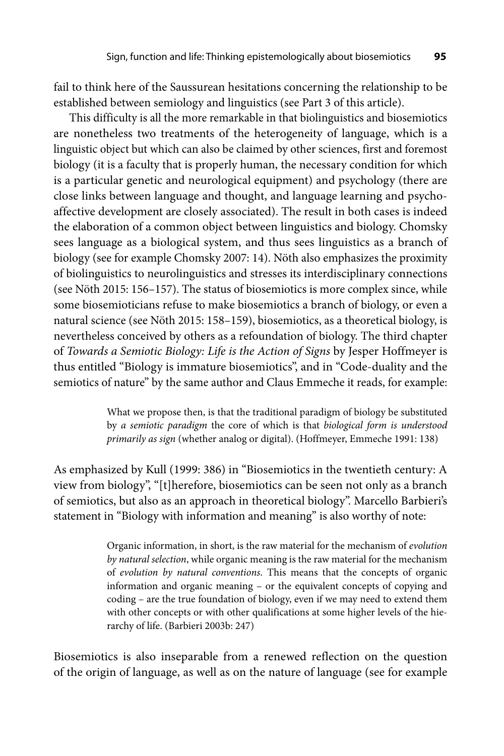fail to think here of the Saussurean hesitations concerning the relationship to be established between semiology and linguistics (see Part 3 of this article).

This difficulty is all the more remarkable in that biolinguistics and biosemiotics are nonetheless two treatments of the heterogeneity of language, which is a linguistic object but which can also be claimed by other sciences, first and foremost biology (it is a faculty that is properly human, the necessary condition for which is a particular genetic and neurological equipment) and psychology (there are close links between language and thought, and language learning and psychoaffective development are closely associated). The result in both cases is indeed the elaboration of a common object between linguistics and biology. Chomsky sees language as a biological system, and thus sees linguistics as a branch of biology (see for example Chomsky 2007: 14). Nöth also emphasizes the proximity of biolinguistics to neurolinguistics and stresses its interdisciplinary connections (see Nöth 2015: 156–157). The status of biosemiotics is more complex since, while some biosemioticians refuse to make biosemiotics a branch of biology, or even a natural science (see Nöth 2015: 158–159), biosemiotics, as a theoretical biology, is nevertheless conceived by others as a refoundation of biology. The third chapter of *Towards a Semiotic Biology: Life is the Action of Signs* by Jesper Hoffmeyer is thus entitled "Biology is immature biosemiotics", and in "Code-duality and the semiotics of nature" by the same author and Claus Emmeche it reads, for example:

> What we propose then, is that the traditional paradigm of biology be substituted by *a semiotic paradigm* the core of which is that *biological form is understood primarily as sign* (whether analog or digital). (Hoffmeyer, Emmeche 1991: 138)

As emphasized by Kull (1999: 386) in "Biosemiotics in the twentieth century: A view from biology", "[t]herefore, biosemiotics can be seen not only as a branch of semiotics, but also as an approach in theoretical biology". Marcello Barbieri's statement in "Biology with information and meaning" is also worthy of note:

> Organic information, in short, is the raw material for the mechanism of *evolution by natural selection*, while organic meaning is the raw material for the mechanism of *evolution by natural conventions*. This means that the concepts of organic information and organic meaning – or the equivalent concepts of copying and coding – are the true foundation of biology, even if we may need to extend them with other concepts or with other qualifications at some higher levels of the hierarchy of life. (Barbieri 2003b: 247)

Biosemiotics is also inseparable from a renewed reflection on the question of the origin of language, as well as on the nature of language (see for example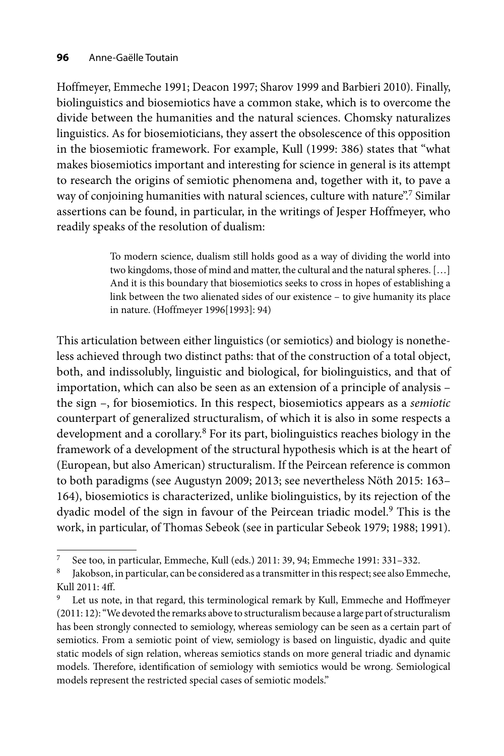Hoffmeyer, Emmeche 1991; Deacon 1997; Sharov 1999 and Barbieri 2010). Finally, biolinguistics and biosemiotics have a common stake, which is to overcome the divide between the humanities and the natural sciences. Chomsky naturalizes linguistics. As for biosemioticians, they assert the obsolescence of this opposition in the biosemiotic framework. For example, Kull (1999: 386) states that "what makes biosemiotics important and interesting for science in general is its attempt to research the origins of semiotic phenomena and, together with it, to pave a way of conjoining humanities with natural sciences, culture with nature".<sup>7</sup> Similar assertions can be found, in particular, in the writings of Jesper Hoffmeyer, who readily speaks of the resolution of dualism:

> To modern science, dualism still holds good as a way of dividing the world into two kingdoms, those of mind and matter, the cultural and the natural spheres. […] And it is this boundary that biosemiotics seeks to cross in hopes of establishing a link between the two alienated sides of our existence – to give humanity its place in nature. (Hoffmeyer 1996[1993]: 94)

This articulation between either linguistics (or semiotics) and biology is nonetheless achieved through two distinct paths: that of the construction of a total object, both, and indissolubly, linguistic and biological, for biolinguistics, and that of importation, which can also be seen as an extension of a principle of analysis – the sign –, for biosemiotics. In this respect, biosemiotics appears as a *semiotic* counterpart of generalized structuralism, of which it is also in some respects a development and a corollary.<sup>8</sup> For its part, biolinguistics reaches biology in the framework of a development of the structural hypothesis which is at the heart of (European, but also American) structuralism. If the Peircean reference is common to both paradigms (see Augustyn 2009; 2013; see nevertheless Nöth 2015: 163– 164), biosemiotics is characterized, unlike biolinguistics, by its rejection of the dyadic model of the sign in favour of the Peircean triadic model.<sup>9</sup> This is the work, in particular, of Thomas Sebeok (see in particular Sebeok 1979; 1988; 1991).

<sup>7</sup> See too, in particular, Emmeche, Kull (eds.) 2011: 39, 94; Emmeche 1991: 331–332.

<sup>&</sup>lt;sup>8</sup> Jakobson, in particular, can be considered as a transmitter in this respect; see also Emmeche, Kull 2011: 4ff.

Let us note, in that regard, this terminological remark by Kull, Emmeche and Hoffmeyer (2011: 12): "We devoted the remarks above to structuralism because a large part of structuralism has been strongly connected to semiology, whereas semiology can be seen as a certain part of semiotics. From a semiotic point of view, semiology is based on linguistic, dyadic and quite static models of sign relation, whereas semiotics stands on more general triadic and dynamic models. Therefore, identification of semiology with semiotics would be wrong. Semiological models represent the restricted special cases of semiotic models."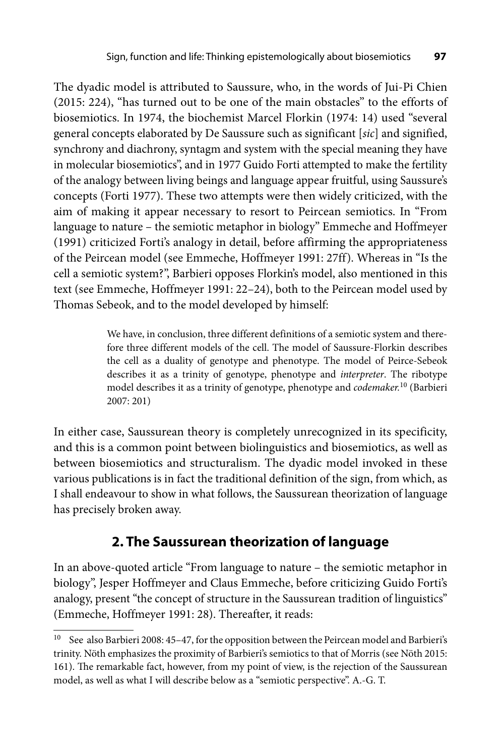The dyadic model is attributed to Saussure, who, in the words of Jui-Pi Chien (2015: 224), "has turned out to be one of the main obstacles" to the efforts of biosemiotics. In 1974, the biochemist Marcel Florkin (1974: 14) used "several general concepts elaborated by De Saussure such as significant [*sic*] and signified, synchrony and diachrony, syntagm and system with the special meaning they have in molecular biosemiotics", and in 1977 Guido Forti attempted to make the fertility of the analogy between living beings and language appear fruitful, using Saussure's concepts (Forti 1977). These two attempts were then widely criticized, with the aim of making it appear necessary to resort to Peircean semiotics. In "From language to nature – the semiotic metaphor in biology" Emmeche and Hoffmeyer (1991) criticized Forti's analogy in detail, before affirming the appropriateness of the Peircean model (see Emmeche, Hoffmeyer 1991: 27ff). Whereas in "Is the cell a semiotic system?", Barbieri opposes Florkin's model, also mentioned in this text (see Emmeche, Hoffmeyer 1991: 22–24), both to the Peircean model used by Thomas Sebeok, and to the model developed by himself:

> We have, in conclusion, three different definitions of a semiotic system and therefore three different models of the cell. The model of Saussure-Florkin describes the cell as a duality of genotype and phenotype. The model of Peirce-Sebeok describes it as a trinity of genotype, phenotype and *interpreter*. The ribotype model describes it as a trinity of genotype, phenotype and *codemaker.*10 (Barbieri 2007: 201)

In either case, Saussurean theory is completely unrecognized in its specificity, and this is a common point between biolinguistics and biosemiotics, as well as between biosemiotics and structuralism. The dyadic model invoked in these various publications is in fact the traditional definition of the sign, from which, as I shall endeavour to show in what follows, the Saussurean theorization of language has precisely broken away.

## **2. The Saussurean theorization of language**

In an above-quoted article "From language to nature – the semiotic metaphor in biology", Jesper Hoffmeyer and Claus Emmeche, before criticizing Guido Forti's analogy, present "the concept of structure in the Saussurean tradition of linguistics" (Emmeche, Hoffmeyer 1991: 28). Thereafter, it reads:

 $10$  See also Barbieri 2008: 45-47, for the opposition between the Peircean model and Barbieri's trinity. Nöth emphasizes the proximity of Barbieri's semiotics to that of Morris (see Nöth 2015: 161). The remarkable fact, however, from my point of view, is the rejection of the Saussurean model, as well as what I will describe below as a "semiotic perspective". A.-G. T.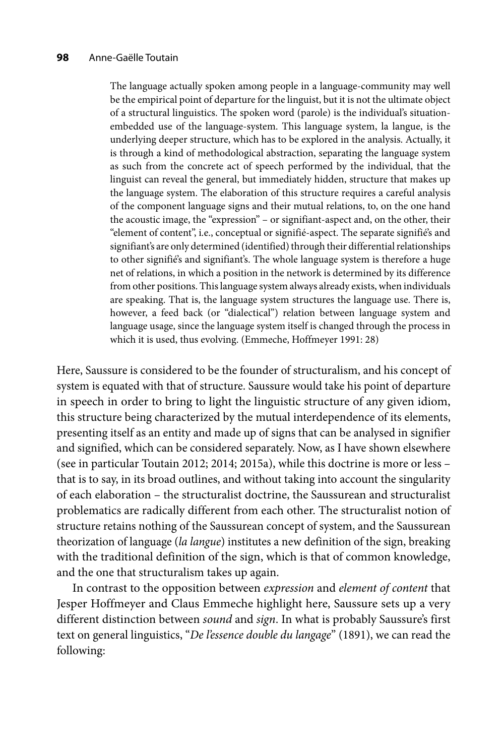#### **98** Anne-Gaëlle Toutain

The language actually spoken among people in a language-community may well be the empirical point of departure for the linguist, but it is not the ultimate object of a structural linguistics. The spoken word (parole) is the individual's situationembedded use of the language-system. This language system, la langue, is the underlying deeper structure, which has to be explored in the analysis. Actually, it is through a kind of methodological abstraction, separating the language system as such from the concrete act of speech performed by the individual, that the linguist can reveal the general, but immediately hidden, structure that makes up the language system. The elaboration of this structure requires a careful analysis of the component language signs and their mutual relations, to, on the one hand the acoustic image, the "expression" – or signifiant-aspect and, on the other, their "element of content", i.e., conceptual or signifié-aspect. The separate signifié's and signifiant's are only determined (identified) through their differential relationships to other signifié's and signifiant's. The whole language system is therefore a huge net of relations, in which a position in the network is determined by its difference from other positions. This language system always already exists, when individuals are speaking. That is, the language system structures the language use. There is, however, a feed back (or "dialectical") relation between language system and language usage, since the language system itself is changed through the process in which it is used, thus evolving. (Emmeche, Hoffmeyer 1991: 28)

Here, Saussure is considered to be the founder of structuralism, and his concept of system is equated with that of structure. Saussure would take his point of departure in speech in order to bring to light the linguistic structure of any given idiom, this structure being characterized by the mutual interdependence of its elements, presenting itself as an entity and made up of signs that can be analysed in signifier and signified, which can be considered separately. Now, as I have shown elsewhere (see in particular Toutain 2012; 2014; 2015a), while this doctrine is more or less – that is to say, in its broad outlines, and without taking into account the singularity of each elaboration – the structuralist doctrine, the Saussurean and structuralist problematics are radically different from each other. The structuralist notion of structure retains nothing of the Saussurean concept of system, and the Saussurean theorization of language (*la langue*) institutes a new definition of the sign, breaking with the traditional definition of the sign, which is that of common knowledge, and the one that structuralism takes up again.

In contrast to the opposition between *expression* and *element of content* that Jesper Hoffmeyer and Claus Emmeche highlight here, Saussure sets up a very different distinction between *sound* and *sign*. In what is probably Saussure's first text on general linguistics, "*De l'essence double du langage*" (1891), we can read the following: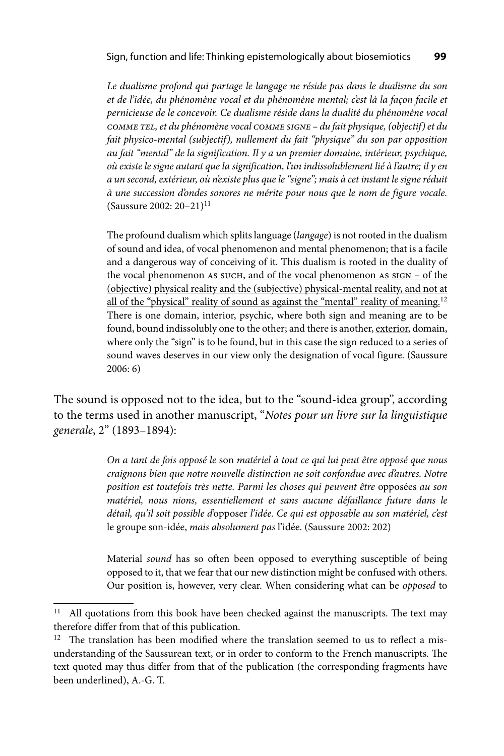*Le dualisme profond qui partage le langage ne réside pas dans le dualisme du son et de l'idée, du phénomène vocal et du phénomène mental; c'est là la façon facile et pernicieuse de le concevoir. Ce dualisme réside dans la dualité du phénomène vocal comme tel, et du phénomène vocal comme signe – du fait physique, (objectif) et du fait physico-mental (subjectif), nullement du fait "physique" du son par opposition au fait "mental" de la signification. Il y a un premier domaine, intérieur, psychique, où existe le signe autant que la signification, l'un indissolublement lié à l'autre; il y en a un second, extérieur, où n'existe plus que le "signe"; mais à cet instant le signe réduit à une succession d'ondes sonores ne mérite pour nous que le nom de figure vocale.* (Saussure 2002: 20–21)11

The profound dualism which splits language (*langage*) is not rooted in the dualism of sound and idea, of vocal phenomenon and mental phenomenon; that is a facile and a dangerous way of conceiving of it. This dualism is rooted in the duality of the vocal phenomenon as such, and of the vocal phenomenon as sign - of the (objective) physical reality and the (subjective) physical-mental reality, and not at all of the "physical" reality of sound as against the "mental" reality of meaning.<sup>12</sup> There is one domain, interior, psychic, where both sign and meaning are to be found, bound indissolubly one to the other; and there is another, exterior, domain, where only the "sign" is to be found, but in this case the sign reduced to a series of sound waves deserves in our view only the designation of vocal figure. (Saussure 2006: 6)

The sound is opposed not to the idea, but to the "sound-idea group", according to the terms used in another manuscript, "*Notes pour un livre sur la linguistique generale*, 2" (1893–1894):

> *On a tant de fois opposé le* son *matériel à tout ce qui lui peut être opposé que nous craignons bien que notre nouvelle distinction ne soit confondue avec d'autres. Notre position est toutefois très nette. Parmi les choses qui peuvent être* opposées *au son matériel, nous nions, essentiellement et sans aucune défaillance future dans le détail, qu'il soit possible d*'opposer *l'idée. Ce qui est opposable au son matériel, c'est* le groupe son-idée, *mais absolument pas* l'idée. (Saussure 2002: 202)

> Material *sound* has so often been opposed to everything susceptible of being opposed to it, that we fear that our new distinction might be confused with others. Our position is, however, very clear. When considering what can be *opposed* to

 $11$  All quotations from this book have been checked against the manuscripts. The text may therefore differ from that of this publication.

 $12$  The translation has been modified where the translation seemed to us to reflect a misunderstanding of the Saussurean text, or in order to conform to the French manuscripts. The text quoted may thus differ from that of the publication (the corresponding fragments have been underlined), A.-G. T.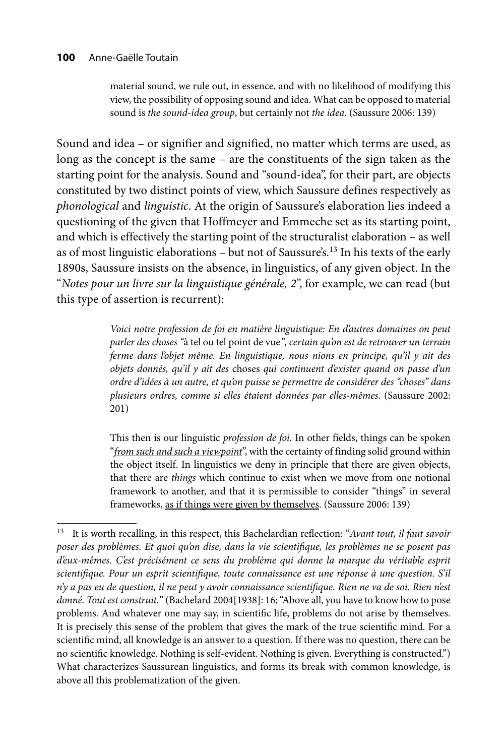#### **100** Anne-Gaëlle Toutain

material sound, we rule out, in essence, and with no likelihood of modifying this view, the possibility of opposing sound and idea. What can be opposed to material sound is *the sound-idea group*, but certainly not *the idea*. (Saussure 2006: 139)

Sound and idea – or signifier and signified, no matter which terms are used, as long as the concept is the same – are the constituents of the sign taken as the starting point for the analysis. Sound and "sound-idea", for their part, are objects constituted by two distinct points of view, which Saussure defines respectively as *phonological* and *linguistic*. At the origin of Saussure's elaboration lies indeed a questioning of the given that Hoffmeyer and Emmeche set as its starting point, and which is effectively the starting point of the structuralist elaboration – as well as of most linguistic elaborations – but not of Saussure's.<sup>13</sup> In his texts of the early 1890s, Saussure insists on the absence, in linguistics, of any given object. In the "*Notes pour un livre sur la linguistique générale, 2*", for example, we can read (but this type of assertion is recurrent):

> *Voici notre profession de foi en matière linguistique: En d'autres domaines on peut parler des choses "*à tel ou tel point de vue*", certain qu'on est de retrouver un terrain ferme dans l'objet même. En linguistique, nous nions en principe, qu'il y ait des objets donnés, qu'il y ait des* choses *qui continuent d'exister quand on passe d'un ordre d'idées à un autre, et qu'on puisse se permettre de considérer des "choses" dans plusieurs ordres, comme si elles étaient données par elles-mêmes.* (Saussure 2002: 201)

> This then is our linguistic *profession de foi*. In other fields, things can be spoken "*from such and such a viewpoint*", with the certainty of finding solid ground within the object itself. In linguistics we deny in principle that there are given objects, that there are *things* which continue to exist when we move from one notional framework to another, and that it is permissible to consider "things" in several frameworks, as if things were given by themselves. (Saussure 2006: 139)

<sup>13</sup> It is worth recalling, in this respect, this Bachelardian refl ection: "*Avant tout, il faut savoir*  poser des problèmes. Et quoi qu'on dise, dans la vie scientifique, les problèmes ne se posent pas *d'eux-mêmes. C'est précisément ce sens du problème qui donne la marque du véritable esprit scientifi que. Pour un esprit scientifi que, toute connaissance est une réponse à une question. S'il n'y a pas eu de question, il ne peut y avoir connaissance scientifi que. Rien ne va de soi. Rien n'est donné. Tout est construit.*" (Bachelard 2004[1938]: 16; "Above all, you have to know how to pose problems. And whatever one may say, in scientific life, problems do not arise by themselves. It is precisely this sense of the problem that gives the mark of the true scientific mind. For a scientific mind, all knowledge is an answer to a question. If there was no question, there can be no scientific knowledge. Nothing is self-evident. Nothing is given. Everything is constructed.") What characterizes Saussurean linguistics, and forms its break with common knowledge, is above all this problematization of the given.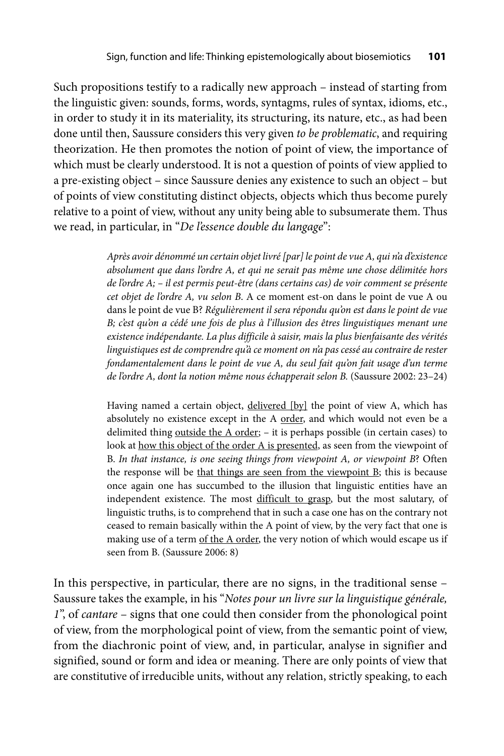Such propositions testify to a radically new approach – instead of starting from the linguistic given: sounds, forms, words, syntagms, rules of syntax, idioms, etc., in order to study it in its materiality, its structuring, its nature, etc., as had been done until then, Saussure considers this very given *to be problematic*, and requiring theorization. He then promotes the notion of point of view, the importance of which must be clearly understood. It is not a question of points of view applied to a pre-existing object – since Saussure denies any existence to such an object – but of points of view constituting distinct objects, objects which thus become purely relative to a point of view, without any unity being able to subsumerate them. Thus we read, in particular, in "*De l'essence double du langage*":

> *Après avoir dénommé un certain objet livré [par] le point de vue A, qui n'a d'existence absolument que dans l'ordre A, et qui ne serait pas même une chose délimitée hors de l'ordre A; – il est permis peut-être (dans certains cas) de voir comment se présente cet objet de l'ordre A, vu selon B*. A ce moment est-on dans le point de vue A ou dans le point de vue B? *Régulièrement il sera répondu qu'on est dans le point de vue B; c'est qu'on a cédé une fois de plus à l'illusion des êtres linguistiques menant une existence indépendante. La plus difficile à saisir, mais la plus bienfaisante des vérités linguistiques est de comprendre qu'à ce moment on n'a pas cessé au contraire de rester fondamentalement dans le point de vue A, du seul fait qu'on fait usage d'un terme de l'ordre A, dont la notion même nous échapperait selon B.* (Saussure 2002: 23–24)

> Having named a certain object, delivered [by] the point of view A, which has absolutely no existence except in the A order, and which would not even be a delimited thing outside the A order; – it is perhaps possible (in certain cases) to look at how this object of the order A is presented, as seen from the viewpoint of B. *In that instance, is one seeing things from viewpoint A, or viewpoint B*? Often the response will be that things are seen from the viewpoint B; this is because once again one has succumbed to the illusion that linguistic entities have an independent existence. The most difficult to grasp, but the most salutary, of linguistic truths, is to comprehend that in such a case one has on the contrary not ceased to remain basically within the A point of view, by the very fact that one is making use of a term of the A order, the very notion of which would escape us if seen from B. (Saussure 2006: 8)

In this perspective, in particular, there are no signs, in the traditional sense – Saussure takes the example, in his "*Notes pour un livre sur la linguistique générale, 1*", of *cantare* – signs that one could then consider from the phonological point of view, from the morphological point of view, from the semantic point of view, from the diachronic point of view, and, in particular, analyse in signifier and signified, sound or form and idea or meaning. There are only points of view that are constitutive of irreducible units, without any relation, strictly speaking, to each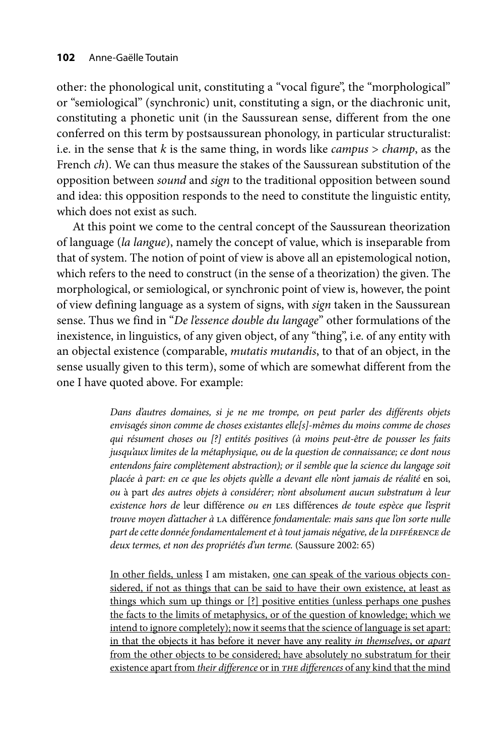other: the phonological unit, constituting a "vocal figure", the "morphological" or "semiological" (synchronic) unit, constituting a sign, or the diachronic unit, constituting a phonetic unit (in the Saussurean sense, different from the one conferred on this term by postsaussurean phonology, in particular structuralist: i.e. in the sense that *k* is the same thing, in words like *campus* > *champ*, as the French *ch*). We can thus measure the stakes of the Saussurean substitution of the opposition between *sound* and *sign* to the traditional opposition between sound and idea: this opposition responds to the need to constitute the linguistic entity, which does not exist as such.

At this point we come to the central concept of the Saussurean theorization of language (*la langue*), namely the concept of value, which is inseparable from that of system. The notion of point of view is above all an epistemological notion, which refers to the need to construct (in the sense of a theorization) the given. The morphological, or semiological, or synchronic point of view is, however, the point of view defining language as a system of signs, with *sign* taken in the Saussurean sense. Thus we find in "*De l'essence double du langage*" other formulations of the inexistence, in linguistics, of any given object, of any "thing", i.e. of any entity with an objectal existence (comparable, *mutatis mutandis*, to that of an object, in the sense usually given to this term), some of which are somewhat different from the one I have quoted above. For example:

> *Dans d'autres domaines, si je ne me trompe, on peut parler des différents objets envisagés sinon comme de choses existantes elle[s]-mêmes du moins comme de choses qui résument choses ou [?] entités positives (à moins peut-être de pousser les faits jusqu'aux limites de la métaphysique, ou de la question de connaissance; ce dont nous entendons faire complètement abstraction); or il semble que la science du langage soit placée à part: en ce que les objets qu'elle a devant elle n'ont jamais de réalité* en soi, *ou* à part *des autres objets à considérer; n'ont absolument aucun substratum à leur existence hors de* leur différence *ou en* les différences *de toute espèce que l'esprit trouve moyen d'attacher à* la différence *fondamentale: mais sans que l'on sorte nulle*  part de cette donnée fondamentalement et à tout jamais négative, de la DIFFÉRENCE de *deux termes, et non des propriétés d'un terme.* (Saussure 2002: 65)

> In other fields, unless I am mistaken, one can speak of the various objects considered, if not as things that can be said to have their own existence, at least as things which sum up things or [?] positive entities (unless perhaps one pushes the facts to the limits of metaphysics, or of the question of knowledge; which we intend to ignore completely); now it seems that the science of language is set apart: in that the objects it has before it never have any reality *in themselves*, or *apart* from the other objects to be considered; have absolutely no substratum for their existence apart from *their difference* or in *the differences* of any kind that the mind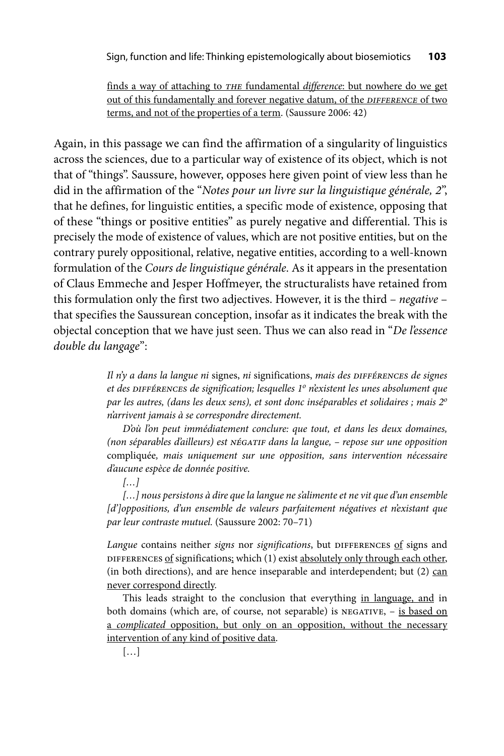finds a way of attaching to *the* fundamental *difference*: but nowhere do we get out of this fundamentally and forever negative datum, of the *difference* of two terms, and not of the properties of a term. (Saussure 2006: 42)

Again, in this passage we can find the affirmation of a singularity of linguistics across the sciences, due to a particular way of existence of its object, which is not that of "things". Saussure, however, opposes here given point of view less than he did in the affirmation of the "*Notes pour un livre sur la linguistique générale, 2*", that he defines, for linguistic entities, a specific mode of existence, opposing that of these "things or positive entities" as purely negative and differential. This is precisely the mode of existence of values, which are not positive entities, but on the contrary purely oppositional, relative, negative entities, according to a well-known formulation of the *Cours de linguistique générale*. As it appears in the presentation of Claus Emmeche and Jesper Hoffmeyer, the structuralists have retained from this formulation only the first two adjectives. However, it is the third – *negative* – that specifies the Saussurean conception, insofar as it indicates the break with the objectal conception that we have just seen. Thus we can also read in "*De l'essence double du langage*":

> *Il n'y a dans la langue ni* signes, *ni* significations, *mais des différences de signes et des différences de signification; lesquelles 1o n'existent les unes absolument que par les autres, (dans les deux sens), et sont donc inséparables et solidaires ; mais 2<sup>o</sup> n'arrivent jamais à se correspondre directement.*

> *D'où l'on peut immédiatement conclure: que tout, et dans les deux domaines, (non séparables d'ailleurs) est négatif dans la langue, – repose sur une opposition*  compliquée*, mais uniquement sur une opposition, sans intervention nécessaire d'aucune espèce de donnée positive.*

*[…]*

*[…] nous persistons à dire que la langue ne s'alimente et ne vit que d'un ensemble [d']oppositions, d'un ensemble de valeurs parfaitement négatives et n'existant que par leur contraste mutuel.* (Saussure 2002: 70–71)

Langue contains neither *signs* nor *significations*, but DIFFERENCES of signs and DIFFERENCES of significations; which (1) exist absolutely only through each other, (in both directions), and are hence inseparable and interdependent; but  $(2)$  can never correspond directly.

This leads straight to the conclusion that everything in language, and in both domains (which are, of course, not separable) is NEGATIVE, - is based on a *complicated* opposition, but only on an opposition, without the necessary intervention of any kind of positive data.

[…]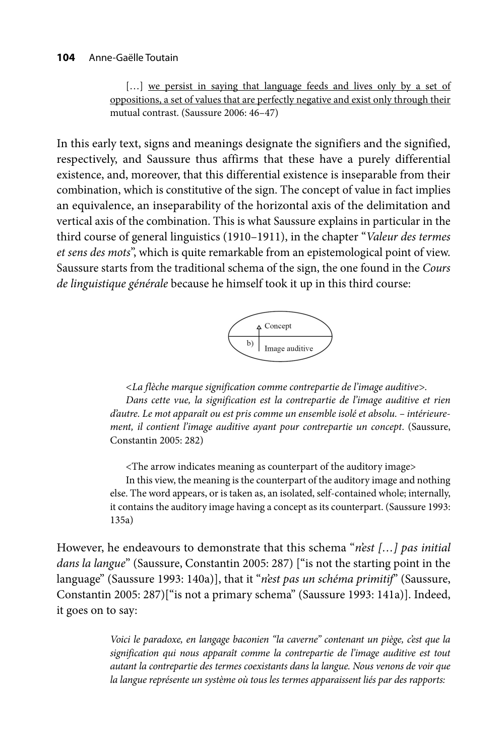[...] we persist in saying that language feeds and lives only by a set of oppositions, a set of values that are perfectly negative and exist only through their mutual contrast. (Saussure 2006: 46–47)

In this early text, signs and meanings designate the signifiers and the signified, respectively, and Saussure thus affirms that these have a purely differential existence, and, moreover, that this differential existence is inseparable from their combination, which is constitutive of the sign. The concept of value in fact implies an equivalence, an inseparability of the horizontal axis of the delimitation and vertical axis of the combination. This is what Saussure explains in particular in the third course of general linguistics (1910–1911), in the chapter "*Valeur des termes et sens des mots*", which is quite remarkable from an epistemological point of view. Saussure starts from the traditional schema of the sign, the one found in the *Cours de linguistique générale* because he himself took it up in this third course:



*<La flèche marque signification comme contrepartie de l'image auditive>. Dans cette vue, la signification est la contrepartie de l'image auditive et rien d'autre. Le mot apparaît ou est pris comme un ensemble isolé et absolu. – intérieurement, il contient l'image auditive ayant pour contrepartie un concept*. (Saussure, Constantin 2005: 282)

<The arrow indicates meaning as counterpart of the auditory image>

In this view, the meaning is the counterpart of the auditory image and nothing else. The word appears, or is taken as, an isolated, self-contained whole; internally, it contains the auditory image having a concept as its counterpart. (Saussure 1993: 135a)

However, he endeavours to demonstrate that this schema "*n'est […] pas initial dans la langue*" (Saussure, Constantin 2005: 287) ["is not the starting point in the language" (Saussure 1993: 140a)], that it "*n'est pas un schéma primitif*" (Saussure, Constantin 2005: 287)["is not a primary schema" (Saussure 1993: 141a)]. Indeed, it goes on to say:

> *Voici le paradoxe, en langage baconien "la caverne" contenant un piège, c'est que la signification qui nous apparaît comme la contrepartie de l'image auditive est tout autant la contrepartie des termes coexistants dans la langue. Nous venons de voir que la langue représente un système où tous les termes apparaissent liés par des rapports:*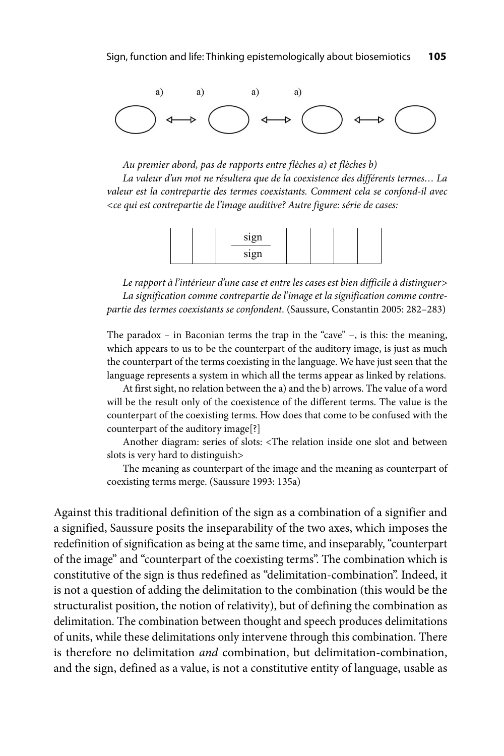

*Au premier abord, pas de rapports entre flèches a) et flèches b)*

*La valeur d'un mot ne résultera que de la coexistence des différents termes… La valeur est la contrepartie des termes coexistants. Comment cela se confond-il avec <ce qui est contrepartie de l'image auditive? Autre figure: série de cases:*



*Le rapport à l'intérieur d'une case et entre les cases est bien difficile à distinguer> La signification comme contrepartie de l'image et la signification comme contrepartie des termes coexistants se confondent*. (Saussure, Constantin 2005: 282–283)

The paradox – in Baconian terms the trap in the "cave" –, is this: the meaning, which appears to us to be the counterpart of the auditory image, is just as much the counterpart of the terms coexisting in the language. We have just seen that the language represents a system in which all the terms appear as linked by relations.

At first sight, no relation between the a) and the b) arrows. The value of a word will be the result only of the coexistence of the different terms. The value is the counterpart of the coexisting terms. How does that come to be confused with the counterpart of the auditory image[?]

Another diagram: series of slots: <The relation inside one slot and between slots is very hard to distinguish>

The meaning as counterpart of the image and the meaning as counterpart of coexisting terms merge. (Saussure 1993: 135a)

Against this traditional definition of the sign as a combination of a signifier and a signified, Saussure posits the inseparability of the two axes, which imposes the redefinition of signification as being at the same time, and inseparably, "counterpart of the image" and "counterpart of the coexisting terms". The combination which is constitutive of the sign is thus redefined as "delimitation-combination". Indeed, it is not a question of adding the delimitation to the combination (this would be the structuralist position, the notion of relativity), but of defining the combination as delimitation. The combination between thought and speech produces delimitations of units, while these delimitations only intervene through this combination. There is therefore no delimitation *and* combination, but delimitation-combination, and the sign, defined as a value, is not a constitutive entity of language, usable as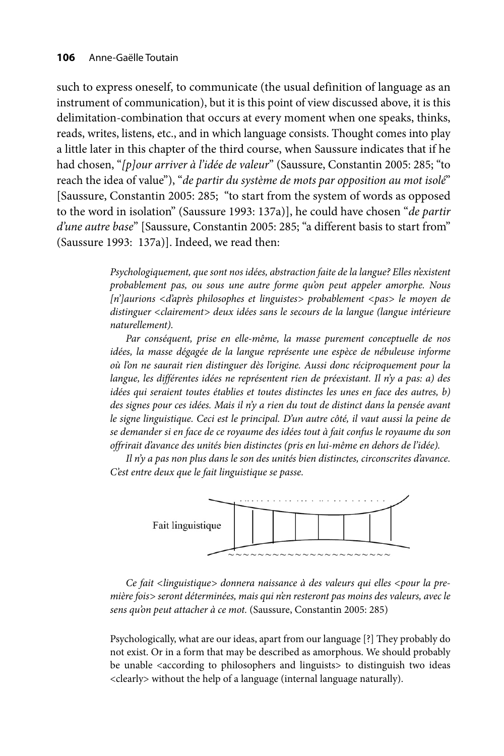such to express oneself, to communicate (the usual definition of language as an instrument of communication), but it is this point of view discussed above, it is this delimitation-combination that occurs at every moment when one speaks, thinks, reads, writes, listens, etc., and in which language consists. Thought comes into play a little later in this chapter of the third course, when Saussure indicates that if he had chosen, "*[p]our arriver à l'idée de valeur*" (Saussure, Constantin 2005: 285; "to reach the idea of value"), "*de partir du système de mots par opposition au mot isolé*" [Saussure, Constantin 2005: 285; "to start from the system of words as opposed to the word in isolation" (Saussure 1993: 137a)], he could have chosen "*de partir d'une autre base*" [Saussure, Constantin 2005: 285; "a different basis to start from" (Saussure 1993: 137a)]. Indeed, we read then:

> *Psychologiquement, que sont nos idées, abstraction faite de la langue? Elles n'existent probablement pas, ou sous une autre forme qu'on peut appeler amorphe. Nous [n']aurions <d'après philosophes et linguistes> probablement <pas> le moyen de distinguer <clairement> deux idées sans le secours de la langue (langue intérieure naturellement).*

> *Par conséquent, prise en elle-même, la masse purement conceptuelle de nos idées, la masse dégagée de la langue représente une espèce de nébuleuse informe où l'on ne saurait rien distinguer dès l'origine. Aussi donc réciproquement pour la langue, les différentes idées ne représentent rien de préexistant. Il n'y a pas: a) des idées qui seraient toutes établies et toutes distinctes les unes en face des autres, b) des signes pour ces idées. Mais il n'y a rien du tout de distinct dans la pensée avant le signe linguistique. Ceci est le principal. D'un autre côté, il vaut aussi la peine de se demander si en face de ce royaume des idées tout à fait confus le royaume du son offrirait d'avance des unités bien distinctes (pris en lui-même en dehors de l'idée).*

> *Il n'y a pas non plus dans le son des unités bien distinctes, circonscrites d'avance. C'est entre deux que le fait linguistique se passe.*



*Ce fait <linguistique> donnera naissance à des valeurs qui elles <pour la première fois> seront déterminées, mais qui n'en resteront pas moins des valeurs, avec le sens qu'on peut attacher à ce mot.* (Saussure, Constantin 2005: 285)

Psychologically, what are our ideas, apart from our language [?] They probably do not exist. Or in a form that may be described as amorphous. We should probably be unable <according to philosophers and linguists> to distinguish two ideas <clearly> without the help of a language (internal language naturally).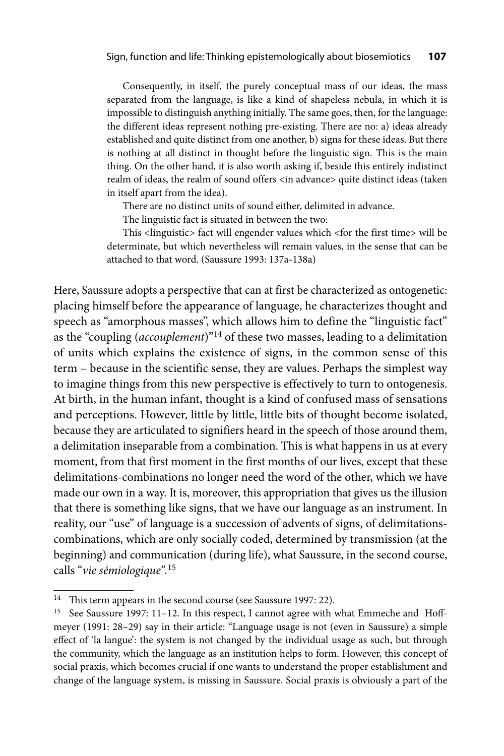Consequently, in itself, the purely conceptual mass of our ideas, the mass separated from the language, is like a kind of shapeless nebula, in which it is impossible to distinguish anything initially. The same goes, then, for the language: the different ideas represent nothing pre-existing. There are no: a) ideas already established and quite distinct from one another, b) signs for these ideas. But there is nothing at all distinct in thought before the linguistic sign. This is the main thing. On the other hand, it is also worth asking if, beside this entirely indistinct realm of ideas, the realm of sound offers <in advance> quite distinct ideas (taken in itself apart from the idea).

There are no distinct units of sound either, delimited in advance.

The linguistic fact is situated in between the two:

This <linguistic> fact will engender values which <for the first time> will be determinate, but which nevertheless will remain values, in the sense that can be attached to that word. (Saussure 1993: 137a-138a)

Here, Saussure adopts a perspective that can at first be characterized as ontogenetic: placing himself before the appearance of language, he characterizes thought and speech as "amorphous masses", which allows him to define the "linguistic fact" as the "coupling (*accouplement*)"14 of these two masses, leading to a delimitation of units which explains the existence of signs, in the common sense of this term – because in the scientific sense, they are values. Perhaps the simplest way to imagine things from this new perspective is effectively to turn to ontogenesis. At birth, in the human infant, thought is a kind of confused mass of sensations and perceptions. However, little by little, little bits of thought become isolated, because they are articulated to signifiers heard in the speech of those around them, a delimitation inseparable from a combination. This is what happens in us at every moment, from that first moment in the first months of our lives, except that these delimitations-combinations no longer need the word of the other, which we have made our own in a way. It is, moreover, this appropriation that gives us the illusion that there is something like signs, that we have our language as an instrument. In reality, our "use" of language is a succession of advents of signs, of delimitationscombinations, which are only socially coded, determined by transmission (at the beginning) and communication (during life), what Saussure, in the second course, calls "*vie sémiologique".*<sup>15</sup>

<sup>&</sup>lt;sup>14</sup> This term appears in the second course (see Saussure 1997: 22).<br><sup>15</sup> See Saussure 1997: 11–12. In this respect, I cannot agree with what Emmeche and Hoffmeyer (1991: 28–29) say in their article: "Language usage is not (even in Saussure) a simple effect of 'la langue': the system is not changed by the individual usage as such, but through the community, which the language as an institution helps to form. However, this concept of social praxis, which becomes crucial if one wants to understand the proper establishment and change of the language system, is missing in Saussure. Social praxis is obviously a part of the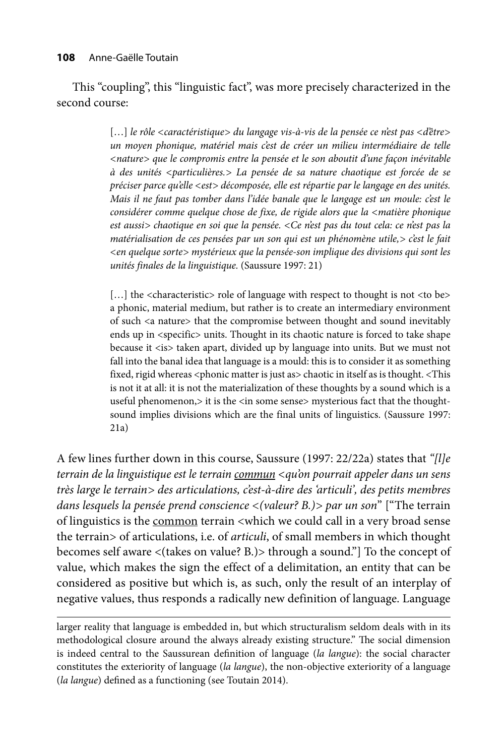This "coupling", this "linguistic fact", was more precisely characterized in the second course:

> […] *le rôle <caractéristique> du langage vis-à-vis de la pensée ce n'est pas <d'être> un moyen phonique, matériel mais c'est de créer un milieu intermédiaire de telle <nature> que le compromis entre la pensée et le son aboutit d'une façon inévitable à des unités <particulières.> La pensée de sa nature chaotique est forcée de se préciser parce qu'elle <est> décomposée, elle est répartie par le langage en des unités. Mais il ne faut pas tomber dans l'idée banale que le langage est un moule: c'est le considérer comme quelque chose de fixe, de rigide alors que la <matière phonique est aussi> chaotique en soi que la pensée. <Ce n'est pas du tout cela: ce n'est pas la matérialisation de ces pensées par un son qui est un phénomène utile,> c'est le fait <en quelque sorte> mystérieux que la pensée-son implique des divisions qui sont les unités finales de la linguistique.* (Saussure 1997: 21)

> [...] the <characteristic> role of language with respect to thought is not <to be> a phonic, material medium, but rather is to create an intermediary environment of such <a nature> that the compromise between thought and sound inevitably ends up in <specific> units. Thought in its chaotic nature is forced to take shape because it <is> taken apart, divided up by language into units. But we must not fall into the banal idea that language is a mould: this is to consider it as something fixed, rigid whereas <phonic matter is just as> chaotic in itself as is thought. <This is not it at all: it is not the materialization of these thoughts by a sound which is a useful phenomenon, > it is the <in some sense > mysterious fact that the thoughtsound implies divisions which are the final units of linguistics. (Saussure 1997: 21a)

A few lines further down in this course, Saussure (1997: 22/22a) states that *"[l]e terrain de la linguistique est le terrain commun <qu'on pourrait appeler dans un sens très large le terrain> des articulations, c'est-à-dire des 'articuli', des petits membres dans lesquels la pensée prend conscience <(valeur? B.)> par un son*" ["The terrain of linguistics is the common terrain <which we could call in a very broad sense the terrain> of articulations, i.e. of *articuli*, of small members in which thought becomes self aware <(takes on value? B.)> through a sound."] To the concept of value, which makes the sign the effect of a delimitation, an entity that can be considered as positive but which is, as such, only the result of an interplay of negative values, thus responds a radically new definition of language. Language

larger reality that language is embedded in, but which structuralism seldom deals with in its methodological closure around the always already existing structure." The social dimension is indeed central to the Saussurean definition of language (*la langue*): the social character constitutes the exteriority of language (*la langue*), the non-objective exteriority of a language (*la langue*) defined as a functioning (see Toutain 2014).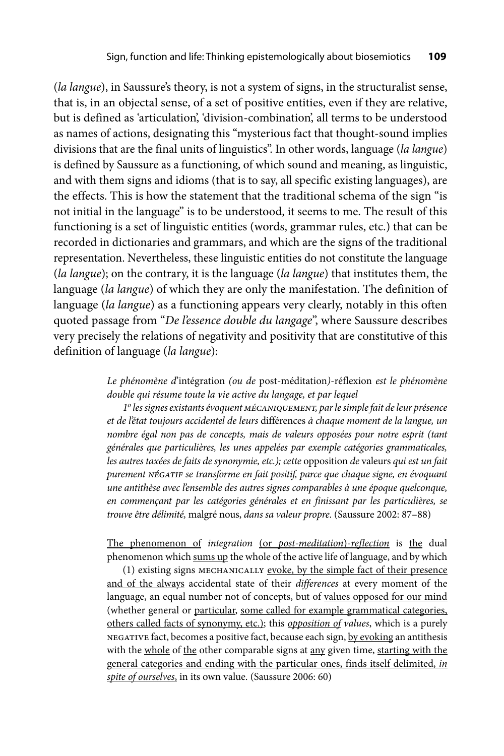(*la langue*), in Saussure's theory, is not a system of signs, in the structuralist sense, that is, in an objectal sense, of a set of positive entities, even if they are relative, but is defined as 'articulation', 'division-combination', all terms to be understood as names of actions, designating this "mysterious fact that thought-sound implies divisions that are the final units of linguistics". In other words, language (*la langue*) is defined by Saussure as a functioning, of which sound and meaning, as linguistic, and with them signs and idioms (that is to say, all specific existing languages), are the effects. This is how the statement that the traditional schema of the sign "is not initial in the language" is to be understood, it seems to me. The result of this functioning is a set of linguistic entities (words, grammar rules, etc.) that can be recorded in dictionaries and grammars, and which are the signs of the traditional representation. Nevertheless, these linguistic entities do not constitute the language (*la langue*); on the contrary, it is the language (*la langue*) that institutes them, the language (*la langue*) of which they are only the manifestation. The definition of language (*la langue*) as a functioning appears very clearly, notably in this often quoted passage from "*De l'essence double du langage*", where Saussure describes very precisely the relations of negativity and positivity that are constitutive of this definition of language (*la langue*):

> *Le phénomène d*'intégration *(ou de* post-méditation*)*-réflexion *est le phénomène double qui résume toute la vie active du langage, et par lequel*

> *1o les signes existants évoquent mécaniquement, par le simple fait de leur présence et de l'état toujours accidentel de leurs* différences *à chaque moment de la langue, un nombre égal non pas de concepts, mais de valeurs opposées pour notre esprit (tant générales que particulières, les unes appelées par exemple catégories grammaticales, les autres taxées de faits de synonymie, etc.); cette* opposition *de* valeurs *qui est un fait purement négatif se transforme en fait positif, parce que chaque signe, en évoquant une antithèse avec l'ensemble des autres signes comparables à une époque quelconque, en commençant par les catégories générales et en finissant par les particulières, se trouve être délimité,* malgré nous, *dans sa valeur propre*. (Saussure 2002: 87–88)

> The phenomenon of *integration* (or *post-meditation*)-*reflection* is the dual phenomenon which sums up the whole of the active life of language, and by which

> (1) existing signs mechanically evoke, by the simple fact of their presence and of the always accidental state of their *differences* at every moment of the language, an equal number not of concepts, but of values opposed for our mind (whether general or particular, some called for example grammatical categories, others called facts of synonymy, etc.); this *opposition of values*, which is a purely negative fact, becomes a positive fact, because each sign, by evoking an antithesis with the whole of the other comparable signs at any given time, starting with the general categories and ending with the particular ones, finds itself delimited, *in spite of ourselves*, in its own value. (Saussure 2006: 60)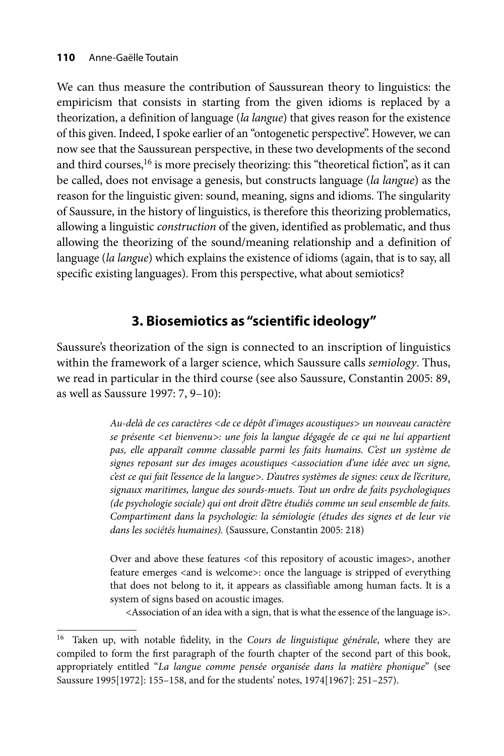We can thus measure the contribution of Saussurean theory to linguistics: the empiricism that consists in starting from the given idioms is replaced by a theorization, a definition of language (*la langue*) that gives reason for the existence of this given. Indeed, I spoke earlier of an "ontogenetic perspective". However, we can now see that the Saussurean perspective, in these two developments of the second and third courses, $16$  is more precisely theorizing: this "theoretical fiction", as it can be called, does not envisage a genesis, but constructs language (*la langue*) as the reason for the linguistic given: sound, meaning, signs and idioms. The singularity of Saussure, in the history of linguistics, is therefore this theorizing problematics, allowing a linguistic *construction* of the given, identified as problematic, and thus allowing the theorizing of the sound/meaning relationship and a definition of language (*la langue*) which explains the existence of idioms (again, that is to say, all specific existing languages). From this perspective, what about semiotics?

# **3. Biosemiotics as "scientific ideology"**

Saussure's theorization of the sign is connected to an inscription of linguistics within the framework of a larger science, which Saussure calls *semiology*. Thus, we read in particular in the third course (see also Saussure, Constantin 2005: 89, as well as Saussure 1997: 7, 9–10):

> *Au-delà de ces caractères <de ce dépôt d'images acoustiques> un nouveau caractère se présente <et bienvenu>: une fois la langue dégagée de ce qui ne lui appartient pas, elle apparaît comme classable parmi les faits humains. C'est un système de signes reposant sur des images acoustiques <association d'une idée avec un signe, c'est ce qui fait l'essence de la langue>. D'autres systèmes de signes: ceux de l'écriture, signaux maritimes, langue des sourds-muets. Tout un ordre de faits psychologiques (de psychologie sociale) qui ont droit d'être étudiés comme un seul ensemble de faits. Compartiment dans la psychologie: la sémiologie (études des signes et de leur vie dans les sociétés humaines).* (Saussure, Constantin 2005: 218)

> Over and above these features <of this repository of acoustic images>, another feature emerges <and is welcome>: once the language is stripped of everything that does not belong to it, it appears as classifiable among human facts. It is a system of signs based on acoustic images.

<Association of an idea with a sign, that is what the essence of the language is>.

<sup>&</sup>lt;sup>16</sup> Taken up, with notable fidelity, in the *Cours de linguistique générale*, where they are compiled to form the first paragraph of the fourth chapter of the second part of this book, appropriately entitled "*La langue comme pensée organisée dans la matière phonique*" (see Saussure 1995[1972]: 155–158, and for the students' notes, 1974[1967]: 251–257).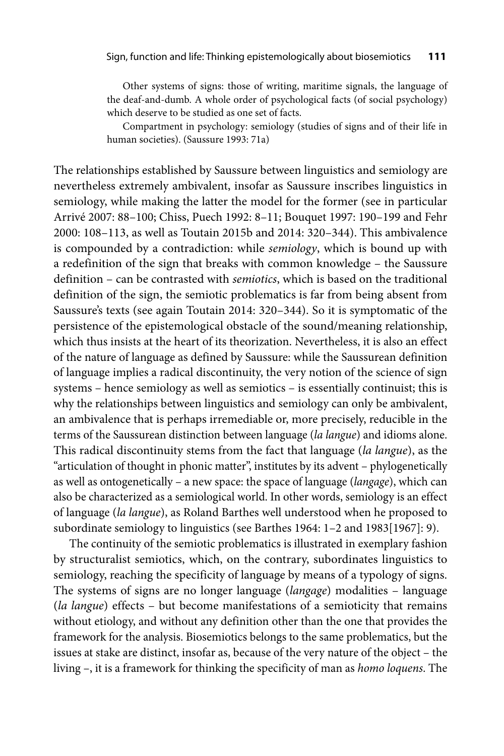Other systems of signs: those of writing, maritime signals, the language of the deaf-and-dumb. A whole order of psychological facts (of social psychology) which deserve to be studied as one set of facts.

Compartment in psychology: semiology (studies of signs and of their life in human societies). (Saussure 1993: 71a)

The relationships established by Saussure between linguistics and semiology are nevertheless extremely ambivalent, insofar as Saussure inscribes linguistics in semiology, while making the latter the model for the former (see in particular Arrivé 2007: 88–100; Chiss, Puech 1992: 8–11; Bouquet 1997: 190–199 and Fehr 2000: 108–113, as well as Toutain 2015b and 2014: 320–344). This ambivalence is compounded by a contradiction: while *semiology*, which is bound up with a redefinition of the sign that breaks with common knowledge – the Saussure definition – can be contrasted with *semiotics*, which is based on the traditional definition of the sign, the semiotic problematics is far from being absent from Saussure's texts (see again Toutain 2014: 320–344). So it is symptomatic of the persistence of the epistemological obstacle of the sound/meaning relationship, which thus insists at the heart of its theorization. Nevertheless, it is also an effect of the nature of language as defined by Saussure: while the Saussurean definition of language implies a radical discontinuity, the very notion of the science of sign systems – hence semiology as well as semiotics – is essentially continuist; this is why the relationships between linguistics and semiology can only be ambivalent, an ambivalence that is perhaps irremediable or, more precisely, reducible in the terms of the Saussurean distinction between language (*la langue*) and idioms alone. This radical discontinuity stems from the fact that language (*la langue*), as the "articulation of thought in phonic matter", institutes by its advent – phylogenetically as well as ontogenetically – a new space: the space of language (*langage*), which can also be characterized as a semiological world. In other words, semiology is an effect of language (*la langue*), as Roland Barthes well understood when he proposed to subordinate semiology to linguistics (see Barthes 1964: 1–2 and 1983[1967]: 9).

The continuity of the semiotic problematics is illustrated in exemplary fashion by structuralist semiotics, which, on the contrary, subordinates linguistics to semiology, reaching the specificity of language by means of a typology of signs. The systems of signs are no longer language (*langage*) modalities – language (*la langue*) effects – but become manifestations of a semioticity that remains without etiology, and without any definition other than the one that provides the framework for the analysis. Biosemiotics belongs to the same problematics, but the issues at stake are distinct, insofar as, because of the very nature of the object – the living –, it is a framework for thinking the specificity of man as *homo loquens*. The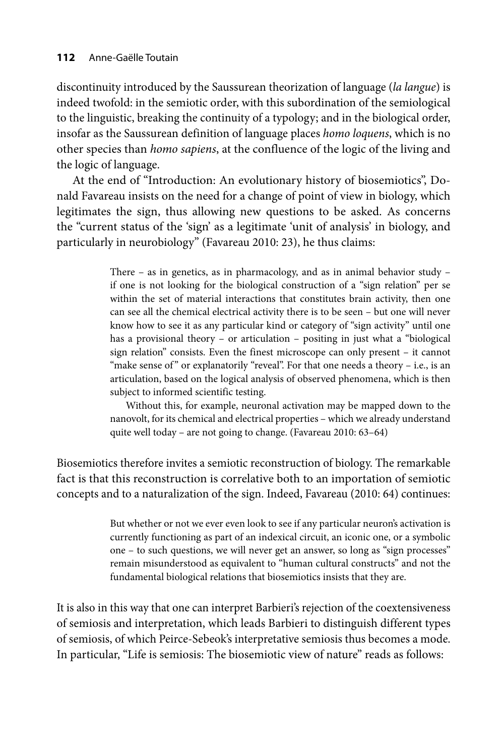discontinuity introduced by the Saussurean theorization of language (*la langue*) is indeed twofold: in the semiotic order, with this subordination of the semiological to the linguistic, breaking the continuity of a typology; and in the biological order, insofar as the Saussurean definition of language places *homo loquens*, which is no other species than *homo sapiens*, at the confluence of the logic of the living and the logic of language.

At the end of "Introduction: An evolutionary history of biosemiotics", Donald Favareau insists on the need for a change of point of view in biology, which legitimates the sign, thus allowing new questions to be asked. As concerns the "current status of the 'sign' as a legitimate 'unit of analysis' in biology, and particularly in neurobiology" (Favareau 2010: 23), he thus claims:

> There – as in genetics, as in pharmacology, and as in animal behavior study – if one is not looking for the biological construction of a "sign relation" per se within the set of material interactions that constitutes brain activity, then one can see all the chemical electrical activity there is to be seen – but one will never know how to see it as any particular kind or category of "sign activity" until one has a provisional theory - or articulation - positing in just what a "biological sign relation" consists. Even the finest microscope can only present – it cannot "make sense of" or explanatorily "reveal". For that one needs a theory - i.e., is an articulation, based on the logical analysis of observed phenomena, which is then subject to informed scientific testing.

> Without this, for example, neuronal activation may be mapped down to the nanovolt, for its chemical and electrical properties – which we already understand quite well today – are not going to change. (Favareau 2010: 63–64)

Biosemiotics therefore invites a semiotic reconstruction of biology. The remarkable fact is that this reconstruction is correlative both to an importation of semiotic concepts and to a naturalization of the sign. Indeed, Favareau (2010: 64) continues:

> But whether or not we ever even look to see if any particular neuron's activation is currently functioning as part of an indexical circuit, an iconic one, or a symbolic one – to such questions, we will never get an answer, so long as "sign processes" remain misunderstood as equivalent to "human cultural constructs" and not the fundamental biological relations that biosemiotics insists that they are.

It is also in this way that one can interpret Barbieri's rejection of the coextensiveness of semiosis and interpretation, which leads Barbieri to distinguish different types of semiosis, of which Peirce-Sebeok's interpretative semiosis thus becomes a mode. In particular, "Life is semiosis: The biosemiotic view of nature" reads as follows: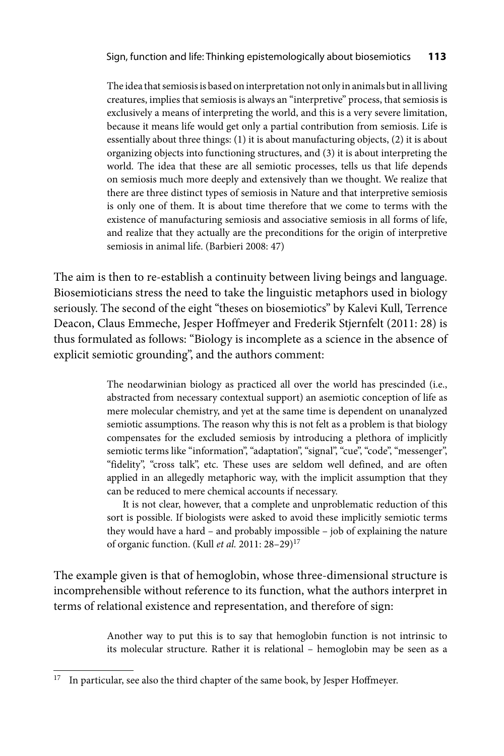The idea that semiosis is based on interpretation not only in animals but in all living creatures, implies that semiosis is always an "interpretive" process, that semiosis is exclusively a means of interpreting the world, and this is a very severe limitation, because it means life would get only a partial contribution from semiosis. Life is essentially about three things: (1) it is about manufacturing objects, (2) it is about organizing objects into functioning structures, and (3) it is about interpreting the world. The idea that these are all semiotic processes, tells us that life depends on semiosis much more deeply and extensively than we thought. We realize that there are three distinct types of semiosis in Nature and that interpretive semiosis is only one of them. It is about time therefore that we come to terms with the existence of manufacturing semiosis and associative semiosis in all forms of life, and realize that they actually are the preconditions for the origin of interpretive semiosis in animal life. (Barbieri 2008: 47)

The aim is then to re-establish a continuity between living beings and language. Biosemioticians stress the need to take the linguistic metaphors used in biology seriously. The second of the eight "theses on biosemiotics" by Kalevi Kull, Terrence Deacon, Claus Emmeche, Jesper Hoffmeyer and Frederik Stjernfelt (2011: 28) is thus formulated as follows: "Biology is incomplete as a science in the absence of explicit semiotic grounding", and the authors comment:

> The neodarwinian biology as practiced all over the world has prescinded (i.e., abstracted from necessary contextual support) an asemiotic conception of life as mere molecular chemistry, and yet at the same time is dependent on unanalyzed semiotic assumptions. The reason why this is not felt as a problem is that biology compensates for the excluded semiosis by introducing a plethora of implicitly semiotic terms like "information", "adaptation", "signal", "cue", "code", "messenger", "fidelity", "cross talk", etc. These uses are seldom well defined, and are often applied in an allegedly metaphoric way, with the implicit assumption that they can be reduced to mere chemical accounts if necessary.

> It is not clear, however, that a complete and unproblematic reduction of this sort is possible. If biologists were asked to avoid these implicitly semiotic terms they would have a hard – and probably impossible – job of explaining the nature of organic function. (Kull *et al.* 2011: 28–29)17

The example given is that of hemoglobin, whose three-dimensional structure is incomprehensible without reference to its function, what the authors interpret in terms of relational existence and representation, and therefore of sign:

> Another way to put this is to say that hemoglobin function is not intrinsic to its molecular structure. Rather it is relational – hemoglobin may be seen as a

<sup>&</sup>lt;sup>17</sup> In particular, see also the third chapter of the same book, by Jesper Hoffmeyer.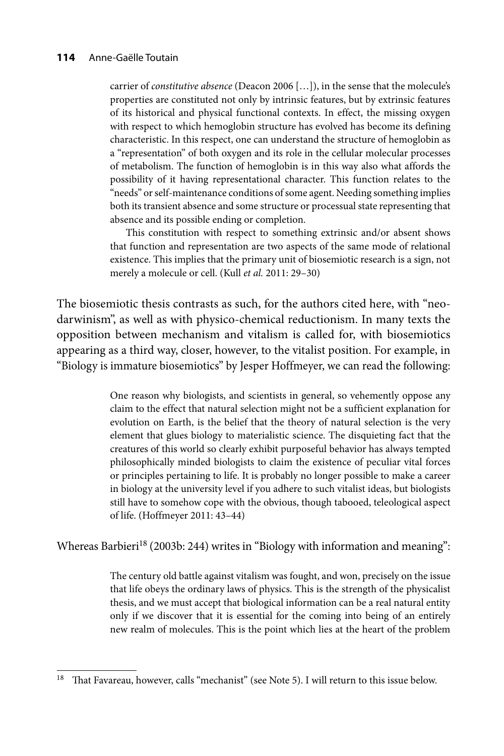#### **114** Anne-Gaëlle Toutain

carrier of *constitutive absence* (Deacon 2006 […]), in the sense that the molecule's properties are constituted not only by intrinsic features, but by extrinsic features of its historical and physical functional contexts. In effect, the missing oxygen with respect to which hemoglobin structure has evolved has become its defining characteristic. In this respect, one can understand the structure of hemoglobin as a "representation" of both oxygen and its role in the cellular molecular processes of metabolism. The function of hemoglobin is in this way also what affords the possibility of it having representational character. This function relates to the "needs" or self-maintenance conditions of some agent. Needing something implies both its transient absence and some structure or processual state representing that absence and its possible ending or completion.

This constitution with respect to something extrinsic and/or absent shows that function and representation are two aspects of the same mode of relational existence. This implies that the primary unit of biosemiotic research is a sign, not merely a molecule or cell. (Kull *et al.* 2011: 29–30)

The biosemiotic thesis contrasts as such, for the authors cited here, with "neodarwinism", as well as with physico-chemical reductionism. In many texts the opposition between mechanism and vitalism is called for, with biosemiotics appearing as a third way, closer, however, to the vitalist position. For example, in "Biology is immature biosemiotics" by Jesper Hoffmeyer, we can read the following:

> One reason why biologists, and scientists in general, so vehemently oppose any claim to the effect that natural selection might not be a sufficient explanation for evolution on Earth, is the belief that the theory of natural selection is the very element that glues biology to materialistic science. The disquieting fact that the creatures of this world so clearly exhibit purposeful behavior has always tempted philosophically minded biologists to claim the existence of peculiar vital forces or principles pertaining to life. It is probably no longer possible to make a career in biology at the university level if you adhere to such vitalist ideas, but biologists still have to somehow cope with the obvious, though tabooed, teleological aspect of life. (Hoffmeyer 2011: 43–44)

Whereas Barbieri<sup>18</sup> (2003b: 244) writes in "Biology with information and meaning":

The century old battle against vitalism was fought, and won, precisely on the issue that life obeys the ordinary laws of physics. This is the strength of the physicalist thesis, and we must accept that biological information can be a real natural entity only if we discover that it is essential for the coming into being of an entirely new realm of molecules. This is the point which lies at the heart of the problem

<sup>&</sup>lt;sup>18</sup> That Favareau, however, calls "mechanist" (see Note 5). I will return to this issue below.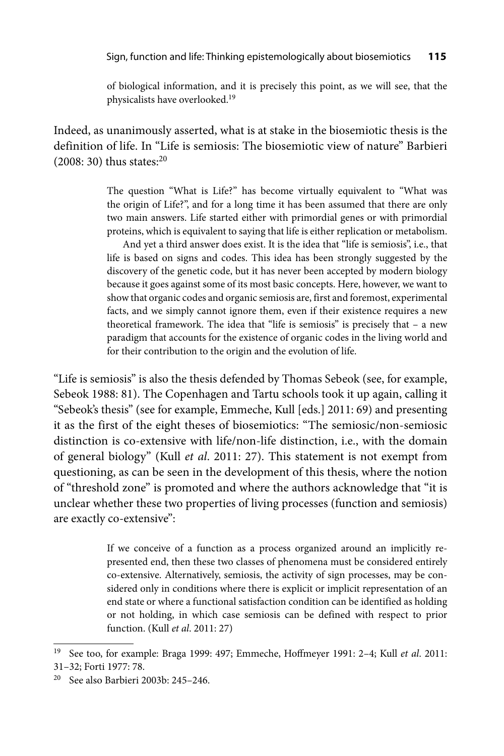of biological information, and it is precisely this point, as we will see, that the physicalists have overlooked.19

Indeed, as unanimously asserted, what is at stake in the biosemiotic thesis is the definition of life. In "Life is semiosis: The biosemiotic view of nature" Barbieri  $(2008: 30)$  thus states:<sup>20</sup>

> The question "What is Life?" has become virtually equivalent to "What was the origin of Life?", and for a long time it has been assumed that there are only two main answers. Life started either with primordial genes or with primordial proteins, which is equivalent to saying that life is either replication or metabolism.

> And yet a third answer does exist. It is the idea that "life is semiosis", i.e., that life is based on signs and codes. This idea has been strongly suggested by the discovery of the genetic code, but it has never been accepted by modern biology because it goes against some of its most basic concepts. Here, however, we want to show that organic codes and organic semiosis are, first and foremost, experimental facts, and we simply cannot ignore them, even if their existence requires a new theoretical framework. The idea that "life is semiosis" is precisely that – a new paradigm that accounts for the existence of organic codes in the living world and for their contribution to the origin and the evolution of life.

"Life is semiosis" is also the thesis defended by Thomas Sebeok (see, for example, Sebeok 1988: 81). The Copenhagen and Tartu schools took it up again, calling it "Sebeok's thesis" (see for example, Emmeche, Kull [eds.] 2011: 69) and presenting it as the first of the eight theses of biosemiotics: "The semiosic/non-semiosic distinction is co-extensive with life/non-life distinction, i.e., with the domain of general biology" (Kull *et al*. 2011: 27). This statement is not exempt from questioning, as can be seen in the development of this thesis, where the notion of "threshold zone" is promoted and where the authors acknowledge that "it is unclear whether these two properties of living processes (function and semiosis) are exactly co-extensive":

> If we conceive of a function as a process organized around an implicitly represented end, then these two classes of phenomena must be considered entirely co-extensive. Alternatively, semiosis, the activity of sign processes, may be considered only in conditions where there is explicit or implicit representation of an end state or where a functional satisfaction condition can be identified as holding or not holding, in which case semiosis can be defined with respect to prior function. (Kull *et al*. 2011: 27)

<sup>&</sup>lt;sup>19</sup> See too, for example: Braga 1999: 497; Emmeche, Hoffmeyer 1991: 2-4; Kull *et al.* 2011: 31–32; Forti 1977: 78.

<sup>20</sup> See also Barbieri 2003b: 245–246.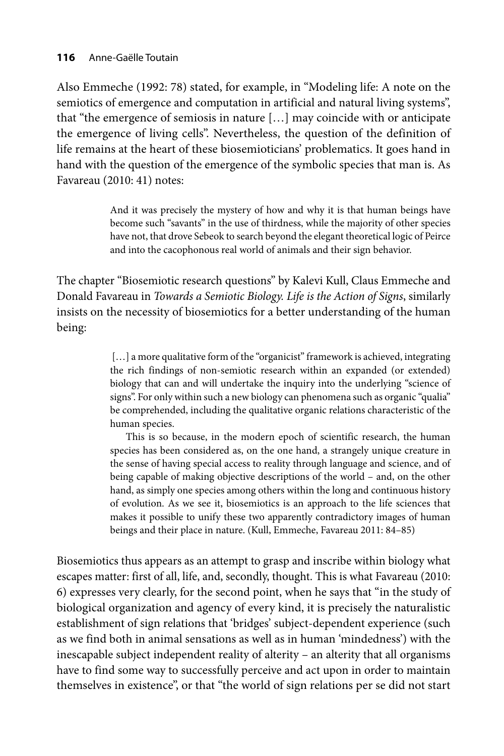Also Emmeche (1992: 78) stated, for example, in "Modeling life: A note on the semiotics of emergence and computation in artificial and natural living systems", that "the emergence of semiosis in nature […] may coincide with or anticipate the emergence of living cells". Nevertheless, the question of the definition of life remains at the heart of these biosemioticians' problematics. It goes hand in hand with the question of the emergence of the symbolic species that man is. As Favareau (2010: 41) notes:

> And it was precisely the mystery of how and why it is that human beings have become such "savants" in the use of thirdness, while the majority of other species have not, that drove Sebeok to search beyond the elegant theoretical logic of Peirce and into the cacophonous real world of animals and their sign behavior.

The chapter "Biosemiotic research questions" by Kalevi Kull, Claus Emmeche and Donald Favareau in *Towards a Semiotic Biology. Life is the Action of Signs*, similarly insists on the necessity of biosemiotics for a better understanding of the human being:

> [...] a more qualitative form of the "organicist" framework is achieved, integrating the rich findings of non-semiotic research within an expanded (or extended) biology that can and will undertake the inquiry into the underlying "science of signs". For only within such a new biology can phenomena such as organic "qualia" be comprehended, including the qualitative organic relations characteristic of the human species.

> This is so because, in the modern epoch of scientific research, the human species has been considered as, on the one hand, a strangely unique creature in the sense of having special access to reality through language and science, and of being capable of making objective descriptions of the world – and, on the other hand, as simply one species among others within the long and continuous history of evolution. As we see it, biosemiotics is an approach to the life sciences that makes it possible to unify these two apparently contradictory images of human beings and their place in nature. (Kull, Emmeche, Favareau 2011: 84–85)

Biosemiotics thus appears as an attempt to grasp and inscribe within biology what escapes matter: first of all, life, and, secondly, thought. This is what Favareau (2010: 6) expresses very clearly, for the second point, when he says that "in the study of biological organization and agency of every kind, it is precisely the naturalistic establishment of sign relations that 'bridges' subject-dependent experience (such as we find both in animal sensations as well as in human 'mindedness') with the inescapable subject independent reality of alterity – an alterity that all organisms have to find some way to successfully perceive and act upon in order to maintain themselves in existence", or that "the world of sign relations per se did not start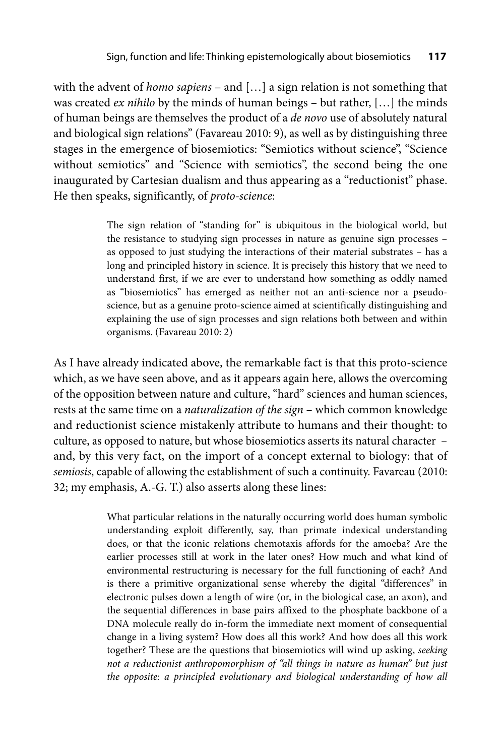with the advent of *homo sapiens* – and […] a sign relation is not something that was created *ex nihilo* by the minds of human beings – but rather, […] the minds of human beings are themselves the product of a *de novo* use of absolutely natural and biological sign relations" (Favareau 2010: 9), as well as by distinguishing three stages in the emergence of biosemiotics: "Semiotics without science", "Science without semiotics" and "Science with semiotics", the second being the one inaugurated by Cartesian dualism and thus appearing as a "reductionist" phase. He then speaks, significantly, of *proto-science*:

> The sign relation of "standing for" is ubiquitous in the biological world, but the resistance to studying sign processes in nature as genuine sign processes – as opposed to just studying the interactions of their material substrates – has a long and principled history in science. It is precisely this history that we need to understand first, if we are ever to understand how something as oddly named as "biosemiotics" has emerged as neither not an anti-science nor a pseudoscience, but as a genuine proto-science aimed at scientifically distinguishing and explaining the use of sign processes and sign relations both between and within organisms. (Favareau 2010: 2)

As I have already indicated above, the remarkable fact is that this proto-science which, as we have seen above, and as it appears again here, allows the overcoming of the opposition between nature and culture, "hard" sciences and human sciences, rests at the same time on a *naturalization of the sign* – which common knowledge and reductionist science mistakenly attribute to humans and their thought: to culture, as opposed to nature, but whose biosemiotics asserts its natural character – and, by this very fact, on the import of a concept external to biology: that of *semiosis*, capable of allowing the establishment of such a continuity. Favareau (2010: 32; my emphasis, A.-G. T.) also asserts along these lines:

> What particular relations in the naturally occurring world does human symbolic understanding exploit differently, say, than primate indexical understanding does, or that the iconic relations chemotaxis affords for the amoeba? Are the earlier processes still at work in the later ones? How much and what kind of environmental restructuring is necessary for the full functioning of each? And is there a primitive organizational sense whereby the digital "differences" in electronic pulses down a length of wire (or, in the biological case, an axon), and the sequential differences in base pairs affixed to the phosphate backbone of a DNA molecule really do in-form the immediate next moment of consequential change in a living system? How does all this work? And how does all this work together? These are the questions that biosemiotics will wind up asking, *seeking*  not a reductionist anthropomorphism of "all things in nature as human" but just the opposite: a principled evolutionary and biological understanding of how all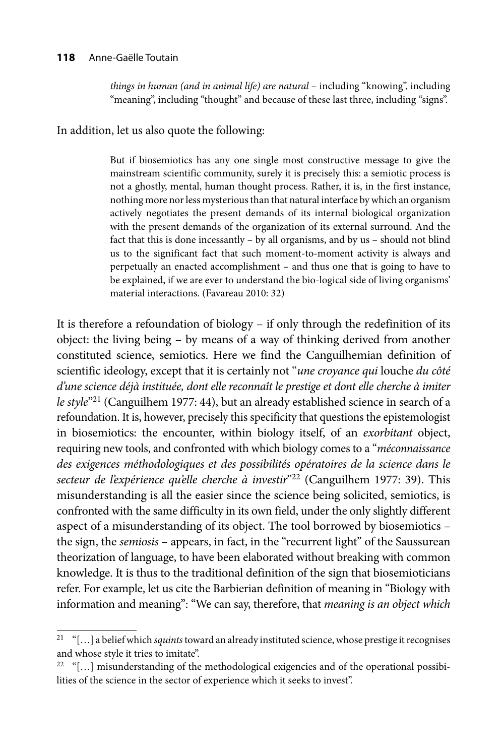#### **118** Anne-Gaëlle Toutain

*things in human (and in animal life) are natural* – including "knowing", including "meaning", including "thought" and because of these last three, including "signs".

In addition, let us also quote the following:

But if biosemiotics has any one single most constructive message to give the mainstream scientific community, surely it is precisely this: a semiotic process is not a ghostly, mental, human thought process. Rather, it is, in the first instance, nothing more nor less mysterious than that natural interface by which an organism actively negotiates the present demands of its internal biological organization with the present demands of the organization of its external surround. And the fact that this is done incessantly – by all organisms, and by us – should not blind us to the significant fact that such moment-to-moment activity is always and perpetually an enacted accomplishment – and thus one that is going to have to be explained, if we are ever to understand the bio-logical side of living organisms' material interactions. (Favareau 2010: 32)

It is therefore a refoundation of biology – if only through the redefinition of its object: the living being – by means of a way of thinking derived from another constituted science, semiotics. Here we find the Canguilhemian definition of scientific ideology, except that it is certainly not "*une croyance qui* louche *du côté d'une science déjà instituée, dont elle reconnaît le prestige et dont elle cherche à imiter le style*"21 (Canguilhem 1977: 44), but an already established science in search of a refoundation. It is, however, precisely this specificity that questions the epistemologist in biosemiotics: the encounter, within biology itself, of an *exorbitant* object, requiring new tools, and confronted with which biology comes to a "*méconnaissance des exigences méthodologiques et des possibilités opératoires de la science dans le secteur de l'expérience qu'elle cherche à investir*"22 (Canguilhem 1977: 39). This misunderstanding is all the easier since the science being solicited, semiotics, is confronted with the same difficulty in its own field, under the only slightly different aspect of a misunderstanding of its object. The tool borrowed by biosemiotics – the sign, the *semiosis* – appears, in fact, in the "recurrent light" of the Saussurean theorization of language, to have been elaborated without breaking with common knowledge. It is thus to the traditional definition of the sign that biosemioticians refer. For example, let us cite the Barbierian definition of meaning in "Biology with information and meaning": "We can say, therefore, that *meaning is an object which* 

<sup>21 &</sup>quot;[…] a belief which *squints* toward an already instituted science, whose prestige it recognises and whose style it tries to imitate".

 $22$  "[...] misunderstanding of the methodological exigencies and of the operational possibilities of the science in the sector of experience which it seeks to invest".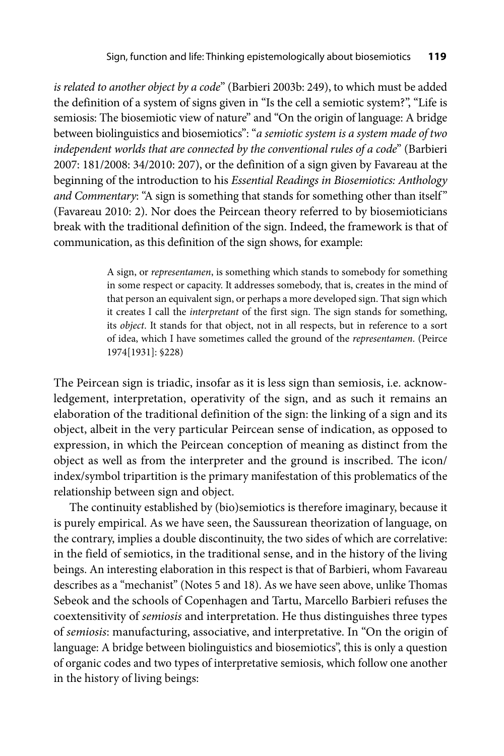*is related to another object by a code*" (Barbieri 2003b: 249), to which must be added the definition of a system of signs given in "Is the cell a semiotic system?", "Life is semiosis: The biosemiotic view of nature" and "On the origin of language: A bridge between biolinguistics and biosemiotics": "*a semiotic system is a system made of two independent worlds that are connected by the conventional rules of a code*" (Barbieri 2007: 181/2008: 34/2010: 207), or the definition of a sign given by Favareau at the beginning of the introduction to his *Essential Readings in Biosemiotics: Anthology and Commentary*: "A sign is something that stands for something other than itself" (Favareau 2010: 2). Nor does the Peircean theory referred to by biosemioticians break with the traditional definition of the sign. Indeed, the framework is that of communication, as this definition of the sign shows, for example:

> A sign, or *representamen*, is something which stands to somebody for something in some respect or capacity. It addresses somebody, that is, creates in the mind of that person an equivalent sign, or perhaps a more developed sign. That sign which it creates I call the *interpretant* of the first sign. The sign stands for something, its *object*. It stands for that object, not in all respects, but in reference to a sort of idea, which I have sometimes called the ground of the *representamen*. (Peirce 1974[1931]: §228)

The Peircean sign is triadic, insofar as it is less sign than semiosis, i.e. acknowledgement, interpretation, operativity of the sign, and as such it remains an elaboration of the traditional definition of the sign: the linking of a sign and its object, albeit in the very particular Peircean sense of indication, as opposed to expression, in which the Peircean conception of meaning as distinct from the object as well as from the interpreter and the ground is inscribed. The icon/ index/symbol tripartition is the primary manifestation of this problematics of the relationship between sign and object.

The continuity established by (bio)semiotics is therefore imaginary, because it is purely empirical. As we have seen, the Saussurean theorization of language, on the contrary, implies a double discontinuity, the two sides of which are correlative: in the field of semiotics, in the traditional sense, and in the history of the living beings. An interesting elaboration in this respect is that of Barbieri, whom Favareau describes as a "mechanist" (Notes 5 and 18). As we have seen above, unlike Thomas Sebeok and the schools of Copenhagen and Tartu, Marcello Barbieri refuses the coextensitivity of *semiosis* and interpretation. He thus distinguishes three types of *semiosis*: manufacturing, associative, and interpretative. In "On the origin of language: A bridge between biolinguistics and biosemiotics", this is only a question of organic codes and two types of interpretative semiosis, which follow one another in the history of living beings: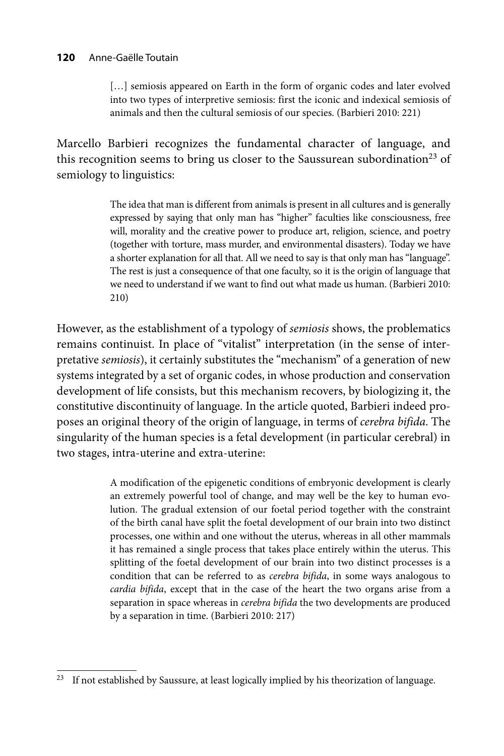#### **120** Anne-Gaëlle Toutain

[...] semiosis appeared on Earth in the form of organic codes and later evolved into two types of interpretive semiosis: first the iconic and indexical semiosis of animals and then the cultural semiosis of our species. (Barbieri 2010: 221)

Marcello Barbieri recognizes the fundamental character of language, and this recognition seems to bring us closer to the Saussurean subordination<sup>23</sup> of semiology to linguistics:

> The idea that man is different from animals is present in all cultures and is generally expressed by saying that only man has "higher" faculties like consciousness, free will, morality and the creative power to produce art, religion, science, and poetry (together with torture, mass murder, and environmental disasters). Today we have a shorter explanation for all that. All we need to say is that only man has "language". The rest is just a consequence of that one faculty, so it is the origin of language that we need to understand if we want to find out what made us human. (Barbieri 2010: 210)

However, as the establishment of a typology of *semiosis* shows, the problematics remains continuist. In place of "vitalist" interpretation (in the sense of interpretative *semiosis*), it certainly substitutes the "mechanism" of a generation of new systems integrated by a set of organic codes, in whose production and conservation development of life consists, but this mechanism recovers, by biologizing it, the constitutive discontinuity of language. In the article quoted, Barbieri indeed proposes an original theory of the origin of language, in terms of *cerebra bifida*. The singularity of the human species is a fetal development (in particular cerebral) in two stages, intra-uterine and extra-uterine:

> A modification of the epigenetic conditions of embryonic development is clearly an extremely powerful tool of change, and may well be the key to human evolution. The gradual extension of our foetal period together with the constraint of the birth canal have split the foetal development of our brain into two distinct processes, one within and one without the uterus, whereas in all other mammals it has remained a single process that takes place entirely within the uterus. This splitting of the foetal development of our brain into two distinct processes is a condition that can be referred to as *cerebra bifida*, in some ways analogous to *cardia bifida*, except that in the case of the heart the two organs arise from a separation in space whereas in *cerebra bifida* the two developments are produced by a separation in time. (Barbieri 2010: 217)

<sup>&</sup>lt;sup>23</sup> If not established by Saussure, at least logically implied by his theorization of language.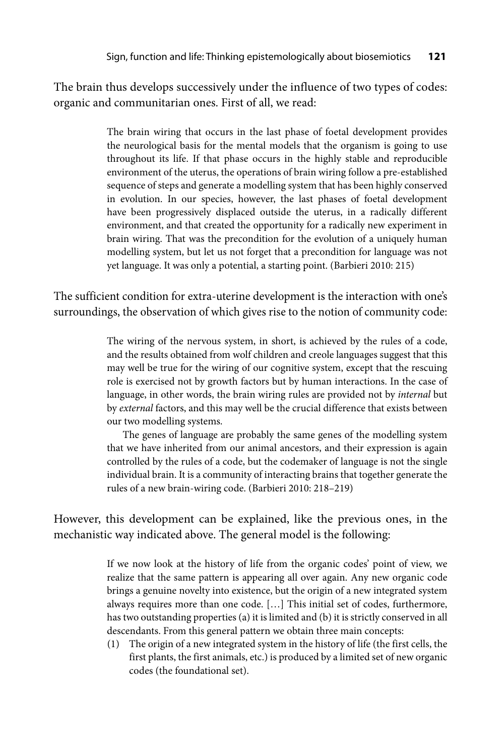The brain thus develops successively under the influence of two types of codes: organic and communitarian ones. First of all, we read:

> The brain wiring that occurs in the last phase of foetal development provides the neurological basis for the mental models that the organism is going to use throughout its life. If that phase occurs in the highly stable and reproducible environment of the uterus, the operations of brain wiring follow a pre-established sequence of steps and generate a modelling system that has been highly conserved in evolution. In our species, however, the last phases of foetal development have been progressively displaced outside the uterus, in a radically different environment, and that created the opportunity for a radically new experiment in brain wiring. That was the precondition for the evolution of a uniquely human modelling system, but let us not forget that a precondition for language was not yet language. It was only a potential, a starting point. (Barbieri 2010: 215)

The sufficient condition for extra-uterine development is the interaction with one's surroundings, the observation of which gives rise to the notion of community code:

> The wiring of the nervous system, in short, is achieved by the rules of a code, and the results obtained from wolf children and creole languages suggest that this may well be true for the wiring of our cognitive system, except that the rescuing role is exercised not by growth factors but by human interactions. In the case of language, in other words, the brain wiring rules are provided not by *internal* but by *external* factors, and this may well be the crucial difference that exists between our two modelling systems.

> The genes of language are probably the same genes of the modelling system that we have inherited from our animal ancestors, and their expression is again controlled by the rules of a code, but the codemaker of language is not the single individual brain. It is a community of interacting brains that together generate the rules of a new brain-wiring code. (Barbieri 2010: 218–219)

However, this development can be explained, like the previous ones, in the mechanistic way indicated above. The general model is the following:

> If we now look at the history of life from the organic codes' point of view, we realize that the same pattern is appearing all over again. Any new organic code brings a genuine novelty into existence, but the origin of a new integrated system always requires more than one code. […] This initial set of codes, furthermore, has two outstanding properties (a) it is limited and (b) it is strictly conserved in all descendants. From this general pattern we obtain three main concepts:

> (1) The origin of a new integrated system in the history of life (the first cells, the first plants, the first animals, etc.) is produced by a limited set of new organic codes (the foundational set).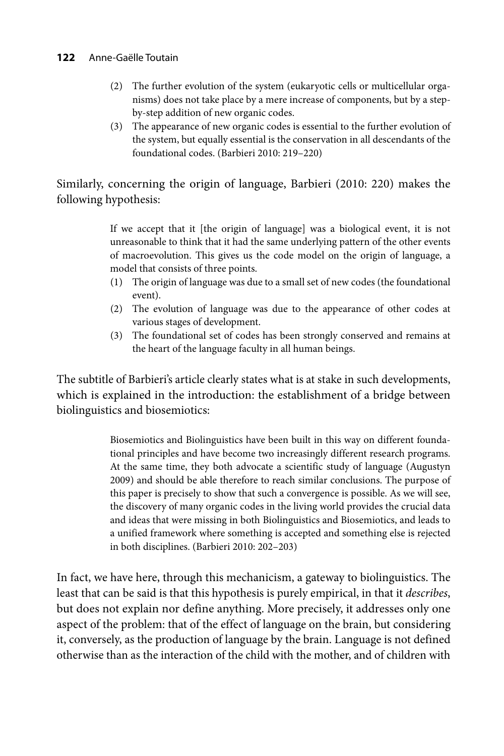#### **122** Anne-Gaëlle Toutain

- (2) The further evolution of the system (eukaryotic cells or multicellular organisms) does not take place by a mere increase of components, but by a stepby-step addition of new organic codes.
- (3) The appearance of new organic codes is essential to the further evolution of the system, but equally essential is the conservation in all descendants of the foundational codes. (Barbieri 2010: 219–220)

Similarly, concerning the origin of language, Barbieri (2010: 220) makes the following hypothesis:

> If we accept that it [the origin of language] was a biological event, it is not unreasonable to think that it had the same underlying pattern of the other events of macroevolution. This gives us the code model on the origin of language, a model that consists of three points.

- (1) The origin of language was due to a small set of new codes (the foundational event).
- (2) The evolution of language was due to the appearance of other codes at various stages of development.
- (3) The foundational set of codes has been strongly conserved and remains at the heart of the language faculty in all human beings.

The subtitle of Barbieri's article clearly states what is at stake in such developments, which is explained in the introduction: the establishment of a bridge between biolinguistics and biosemiotics:

> Biosemiotics and Biolinguistics have been built in this way on different foundational principles and have become two increasingly different research programs. At the same time, they both advocate a scientific study of language (Augustyn 2009) and should be able therefore to reach similar conclusions. The purpose of this paper is precisely to show that such a convergence is possible. As we will see, the discovery of many organic codes in the living world provides the crucial data and ideas that were missing in both Biolinguistics and Biosemiotics, and leads to a unified framework where something is accepted and something else is rejected in both disciplines. (Barbieri 2010: 202–203)

In fact, we have here, through this mechanicism, a gateway to biolinguistics. The least that can be said is that this hypothesis is purely empirical, in that it *describes*, but does not explain nor define anything. More precisely, it addresses only one aspect of the problem: that of the effect of language on the brain, but considering it, conversely, as the production of language by the brain. Language is not defined otherwise than as the interaction of the child with the mother, and of children with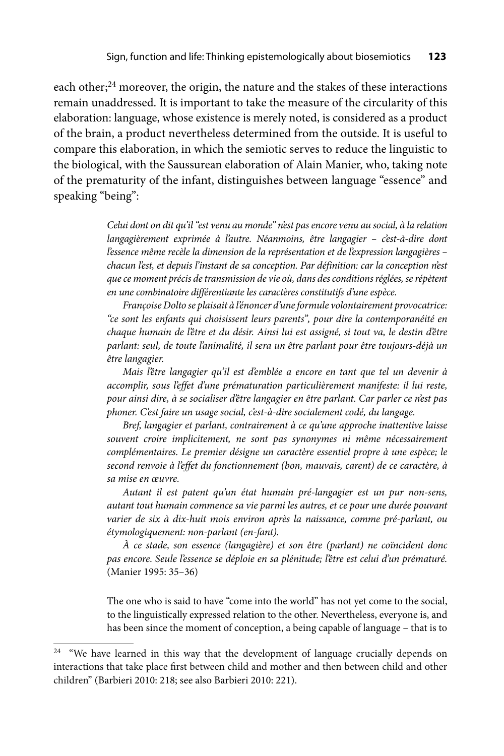each other; $^{24}$  moreover, the origin, the nature and the stakes of these interactions remain unaddressed. It is important to take the measure of the circularity of this elaboration: language, whose existence is merely noted, is considered as a product of the brain, a product nevertheless determined from the outside. It is useful to compare this elaboration, in which the semiotic serves to reduce the linguistic to the biological, with the Saussurean elaboration of Alain Manier, who, taking note of the prematurity of the infant, distinguishes between language "essence" and speaking "being":

> *Celui dont on dit qu'il "est venu au monde" n'est pas encore venu au social, à la relation langagièrement exprimée à l'autre. Néanmoins, être langagier – c'est-à-dire dont l'essence même recèle la dimension de la représentation et de l'expression langagières – chacun l'est, et depuis l'instant de sa conception. Par définition: car la conception n'est que ce moment précis de transmission de vie où, dans des conditions réglées, se répètent en une combinatoire différentiante les caractères constitutifs d'une espèce.*

> *Françoise Dolto se plaisait à l'énoncer d'une formule volontairement provocatrice: "ce sont les enfants qui choisissent leurs parents", pour dire la contemporanéité en chaque humain de l'être et du désir. Ainsi lui est assigné, si tout va, le destin d'être parlant: seul, de toute l'animalité, il sera un être parlant pour être toujours-déjà un être langagier.*

> *Mais l'être langagier qu'il est d'emblée a encore en tant que tel un devenir à accomplir, sous l'effet d'une prématuration particulièrement manifeste: il lui reste, pour ainsi dire, à se socialiser d'être langagier en être parlant. Car parler ce n'est pas phoner. C'est faire un usage social, c'est-à-dire socialement codé, du langage.*

> *Bref, langagier et parlant, contrairement à ce qu'une approche inattentive laisse souvent croire implicitement, ne sont pas synonymes ni même nécessairement complémentaires. Le premier désigne un caractère essentiel propre à une espèce; le second renvoie à l'effet du fonctionnement (bon, mauvais, carent) de ce caractère, à sa mise en œuvre.*

> *Autant il est patent qu'un état humain pré-langagier est un pur non-sens, autant tout humain commence sa vie parmi les autres, et ce pour une durée pouvant varier de six à dix-huit mois environ après la naissance, comme pré-parlant, ou étymologiquement: non-parlant (en-fant).*

> *À ce stade, son essence (langagière) et son être (parlant) ne coïncident donc pas encore. Seule l'essence se déploie en sa plénitude; l'être est celui d'un prématuré.* (Manier 1995: 35–36)

> The one who is said to have "come into the world" has not yet come to the social, to the linguistically expressed relation to the other. Nevertheless, everyone is, and has been since the moment of conception, a being capable of language – that is to

<sup>&</sup>lt;sup>24</sup> "We have learned in this way that the development of language crucially depends on interactions that take place first between child and mother and then between child and other children" (Barbieri 2010: 218; see also Barbieri 2010: 221).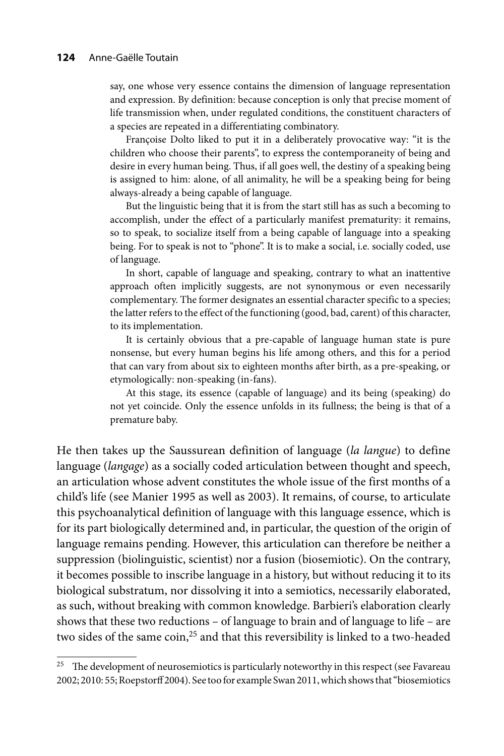say, one whose very essence contains the dimension of language representation and expression. By definition: because conception is only that precise moment of life transmission when, under regulated conditions, the constituent characters of a species are repeated in a differentiating combinatory.

Françoise Dolto liked to put it in a deliberately provocative way: "it is the children who choose their parents", to express the contemporaneity of being and desire in every human being. Thus, if all goes well, the destiny of a speaking being is assigned to him: alone, of all animality, he will be a speaking being for being always-already a being capable of language.

But the linguistic being that it is from the start still has as such a becoming to accomplish, under the effect of a particularly manifest prematurity: it remains, so to speak, to socialize itself from a being capable of language into a speaking being. For to speak is not to "phone". It is to make a social, i.e. socially coded, use of language.

In short, capable of language and speaking, contrary to what an inattentive approach often implicitly suggests, are not synonymous or even necessarily complementary. The former designates an essential character specific to a species; the latter refers to the effect of the functioning (good, bad, carent) of this character, to its implementation.

It is certainly obvious that a pre-capable of language human state is pure nonsense, but every human begins his life among others, and this for a period that can vary from about six to eighteen months after birth, as a pre-speaking, or etymologically: non-speaking (in-fans).

At this stage, its essence (capable of language) and its being (speaking) do not yet coincide. Only the essence unfolds in its fullness; the being is that of a premature baby.

He then takes up the Saussurean definition of language (*la langue*) to define language (*langage*) as a socially coded articulation between thought and speech, an articulation whose advent constitutes the whole issue of the first months of a child's life (see Manier 1995 as well as 2003). It remains, of course, to articulate this psychoanalytical definition of language with this language essence, which is for its part biologically determined and, in particular, the question of the origin of language remains pending. However, this articulation can therefore be neither a suppression (biolinguistic, scientist) nor a fusion (biosemiotic). On the contrary, it becomes possible to inscribe language in a history, but without reducing it to its biological substratum, nor dissolving it into a semiotics, necessarily elaborated, as such, without breaking with common knowledge. Barbieri's elaboration clearly shows that these two reductions – of language to brain and of language to life – are two sides of the same  $\cosh^{25}$  and that this reversibility is linked to a two-headed

 $25$  The development of neurosemiotics is particularly noteworthy in this respect (see Favareau 2002; 2010: 55; Roepstorff 2004). See too for example Swan 2011, which shows that "biosemiotics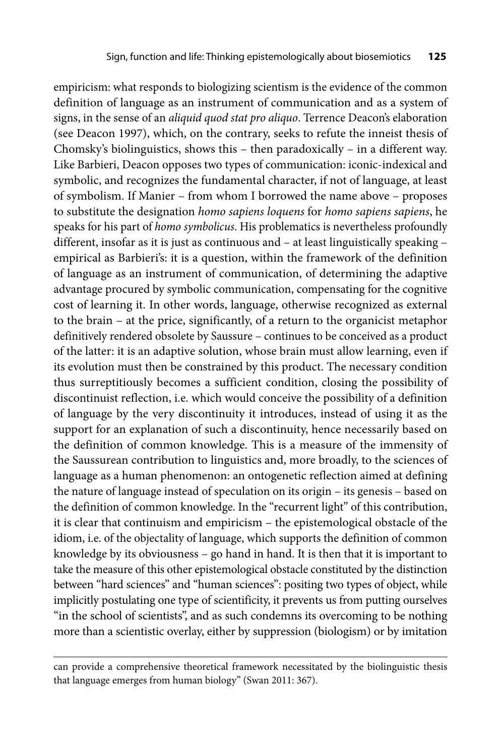empiricism: what responds to biologizing scientism is the evidence of the common definition of language as an instrument of communication and as a system of signs, in the sense of an *aliquid quod stat pro aliquo*. Terrence Deacon's elaboration (see Deacon 1997), which, on the contrary, seeks to refute the inneist thesis of Chomsky's biolinguistics, shows this – then paradoxically – in a different way. Like Barbieri, Deacon opposes two types of communication: iconic-indexical and symbolic, and recognizes the fundamental character, if not of language, at least of symbolism. If Manier – from whom I borrowed the name above – proposes to substitute the designation *homo sapiens loquens* for *homo sapiens sapiens*, he speaks for his part of *homo symbolicus*. His problematics is nevertheless profoundly different, insofar as it is just as continuous and – at least linguistically speaking – empirical as Barbieri's: it is a question, within the framework of the definition of language as an instrument of communication, of determining the adaptive advantage procured by symbolic communication, compensating for the cognitive cost of learning it. In other words, language, otherwise recognized as external to the brain – at the price, significantly, of a return to the organicist metaphor definitively rendered obsolete by Saussure – continues to be conceived as a product of the latter: it is an adaptive solution, whose brain must allow learning, even if its evolution must then be constrained by this product. The necessary condition thus surreptitiously becomes a sufficient condition, closing the possibility of discontinuist reflection, i.e. which would conceive the possibility of a definition of language by the very discontinuity it introduces, instead of using it as the support for an explanation of such a discontinuity, hence necessarily based on the definition of common knowledge. This is a measure of the immensity of the Saussurean contribution to linguistics and, more broadly, to the sciences of language as a human phenomenon: an ontogenetic reflection aimed at defining the nature of language instead of speculation on its origin – its genesis – based on the definition of common knowledge. In the "recurrent light" of this contribution, it is clear that continuism and empiricism – the epistemological obstacle of the idiom, i.e. of the objectality of language, which supports the definition of common knowledge by its obviousness – go hand in hand. It is then that it is important to take the measure of this other epistemological obstacle constituted by the distinction between "hard sciences" and "human sciences": positing two types of object, while implicitly postulating one type of scientificity, it prevents us from putting ourselves "in the school of scientists", and as such condemns its overcoming to be nothing more than a scientistic overlay, either by suppression (biologism) or by imitation

can provide a comprehensive theoretical framework necessitated by the biolinguistic thesis that language emerges from human biology" (Swan 2011: 367).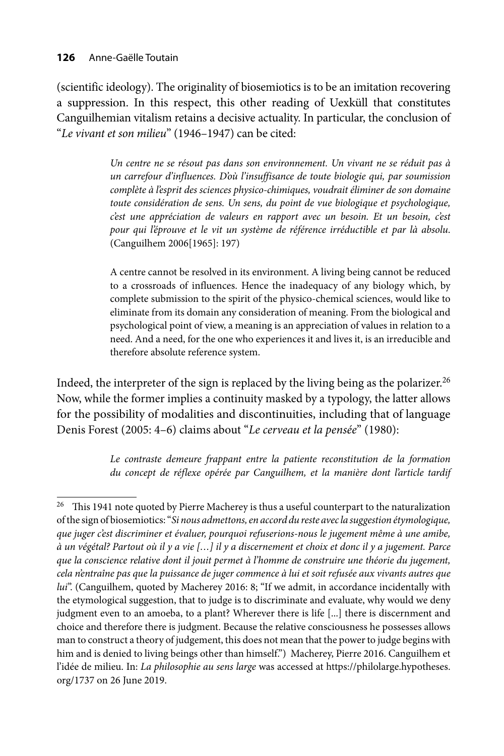(scientific ideology). The originality of biosemiotics is to be an imitation recovering a suppression. In this respect, this other reading of Uexküll that constitutes Canguilhemian vitalism retains a decisive actuality. In particular, the conclusion of "*Le vivant et son milieu*" (1946–1947) can be cited:

> *Un centre ne se résout pas dans son environnement. Un vivant ne se réduit pas à un carrefour d'influences. D'où l'insuffisance de toute biologie qui, par soumission complète à l'esprit des sciences physico-chimiques, voudrait éliminer de son domaine toute considération de sens. Un sens, du point de vue biologique et psychologique, c'est une appréciation de valeurs en rapport avec un besoin. Et un besoin, c'est pour qui l'éprouve et le vit un système de référence irréductible et par là absolu*. (Canguilhem 2006[1965]: 197)

> A centre cannot be resolved in its environment. A living being cannot be reduced to a crossroads of influences. Hence the inadequacy of any biology which, by complete submission to the spirit of the physico-chemical sciences, would like to eliminate from its domain any consideration of meaning. From the biological and psychological point of view, a meaning is an appreciation of values in relation to a need. And a need, for the one who experiences it and lives it, is an irreducible and therefore absolute reference system.

Indeed, the interpreter of the sign is replaced by the living being as the polarizer.<sup>26</sup> Now, while the former implies a continuity masked by a typology, the latter allows for the possibility of modalities and discontinuities, including that of language Denis Forest (2005: 4–6) claims about "*Le cerveau et la pensée*" (1980):

> *Le contraste demeure frappant entre la patiente reconstitution de la formation du concept de réflexe opérée par Canguilhem, et la manière dont l'article tardif*

<sup>&</sup>lt;sup>26</sup> This 1941 note quoted by Pierre Macherey is thus a useful counterpart to the naturalization of the sign of biosemiotics: "*Si nous admettons, en accord du reste avec la suggestion étymologique, que juger c'est discriminer et évaluer, pourquoi refuserions-nous le jugement même à une amibe, à un végétal? Partout où il y a vie […] il y a discernement et choix et donc il y a jugement. Parce que la conscience relative dont il jouit permet à l'homme de construire une théorie du jugement, cela n'entraîne pas que la puissance de juger commence à lui et soit refusée aux vivants autres que lui*". (Canguilhem, quoted by Macherey 2016: 8; "If we admit, in accordance incidentally with the etymological suggestion, that to judge is to discriminate and evaluate, why would we deny judgment even to an amoeba, to a plant? Wherever there is life [...] there is discernment and choice and therefore there is judgment. Because the relative consciousness he possesses allows man to construct a theory of judgement, this does not mean that the power to judge begins with him and is denied to living beings other than himself.") Macherey, Pierre 2016. Canguilhem et l'idée de milieu. In: *La philosophie au sens large* [was accessed at https://philolarge.hypotheses.](https://philolarge.hypotheses.org/1737) org/1737 on 26 June 2019.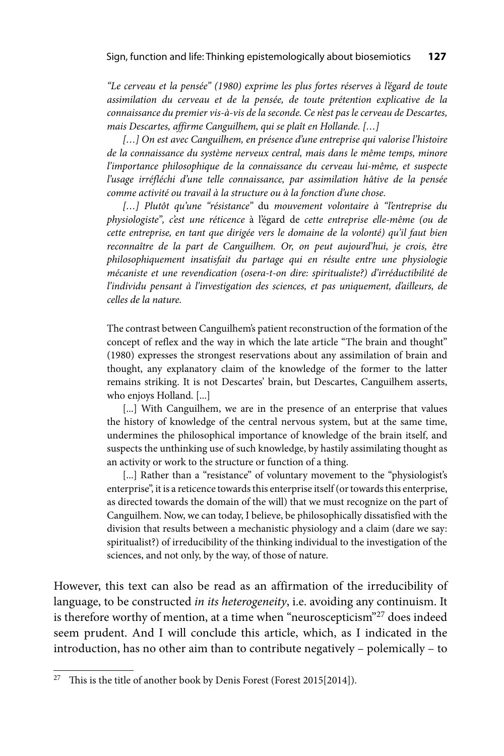*"Le cerveau et la pensée" (1980) exprime les plus fortes réserves à l'égard de toute assimilation du cerveau et de la pensée, de toute prétention explicative de la connaissance du premier vis-à-vis de la seconde. Ce n'est pas le cerveau de Descartes, mais Descartes, affirme Canguilhem, qui se plaît en Hollande. […]*

[...] On est avec Canguilhem, en présence d'une entreprise qui valorise l'histoire *de la connaissance du système nerveux central, mais dans le même temps, minore l'importance philosophique de la connaissance du cerveau lui-même, et suspecte l'usage irréfléchi d'une telle connaissance, par assimilation hâtive de la pensée comme activité ou travail à la structure ou à la fonction d'une chose.*

*[…] Plutôt qu'une "résistance"* du *mouvement volontaire à "l'entreprise du physiologiste", c'est une réticence* à l'égard de *cette entreprise elle-même (ou de cette entreprise, en tant que dirigée vers le domaine de la volonté) qu'il faut bien reconnaître de la part de Canguilhem. Or, on peut aujourd'hui, je crois, être philosophiquement insatisfait du partage qui en résulte entre une physiologie mécaniste et une revendication (osera-t-on dire: spiritualiste?) d'irréductibilité de l'individu pensant à l'investigation des sciences, et pas uniquement, d'ailleurs, de celles de la nature.*

The contrast between Canguilhem's patient reconstruction of the formation of the concept of reflex and the way in which the late article "The brain and thought" (1980) expresses the strongest reservations about any assimilation of brain and thought, any explanatory claim of the knowledge of the former to the latter remains striking. It is not Descartes' brain, but Descartes, Canguilhem asserts, who enjoys Holland. [...]

[...] With Canguilhem, we are in the presence of an enterprise that values the history of knowledge of the central nervous system, but at the same time, undermines the philosophical importance of knowledge of the brain itself, and suspects the unthinking use of such knowledge, by hastily assimilating thought as an activity or work to the structure or function of a thing.

[...] Rather than a "resistance" of voluntary movement to the "physiologist's enterprise", it is a reticence towards this enterprise itself (or towards this enterprise, as directed towards the domain of the will) that we must recognize on the part of Canguilhem. Now, we can today, I believe, be philosophically dissatisfied with the division that results between a mechanistic physiology and a claim (dare we say: spiritualist?) of irreducibility of the thinking individual to the investigation of the sciences, and not only, by the way, of those of nature.

However, this text can also be read as an affirmation of the irreducibility of language, to be constructed *in its heterogeneity*, i.e. avoiding any continuism. It is therefore worthy of mention, at a time when "neuroscepticism"27 does indeed seem prudent. And I will conclude this article, which, as I indicated in the introduction, has no other aim than to contribute negatively – polemically – to

<sup>&</sup>lt;sup>27</sup> This is the title of another book by Denis Forest (Forest 2015[2014]).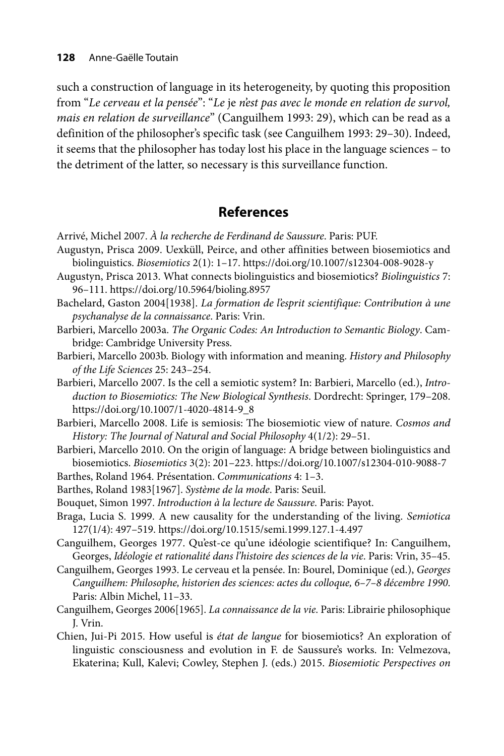such a construction of language in its heterogeneity, by quoting this proposition from "*Le cerveau et la pensée*": "*Le* je *n'est pas avec le monde en relation de survol, mais en relation de surveillance*" (Canguilhem 1993: 29), which can be read as a definition of the philosopher's specific task (see Canguilhem 1993: 29–30). Indeed, it seems that the philosopher has today lost his place in the language sciences – to the detriment of the latter, so necessary is this surveillance function.

## **References**

- Arrivé, Michel 2007. *À la recherche de Ferdinand de Saussure*. Paris: PUF.
- Augustyn, Prisca 2009. Uexküll, Peirce, and other affinities between biosemiotics and biolinguistics. *Biosemiotics* 2(1): 1–17. https://doi.org/10.1007/s12304-008-9028-y
- Augustyn, Prisca 2013. What connects biolinguistics and biosemiotics? *Biolinguistics* 7: 96–111. https://doi.org/10.5964/bioling.8957
- Bachelard, Gaston 2004[1938]. *La formation de l'esprit scientifique: Contribution à une psychanalyse de la connaissance*. Paris: Vrin.
- Barbieri, Marcello 2003a. *The Organic Codes: An Introduction to Semantic Biology*. Cambridge: Cambridge University Press.
- Barbieri, Marcello 2003b. Biology with information and meaning. *History and Philosophy of the Life Sciences* 25: 243–254.
- Barbieri, Marcello 2007. Is the cell a semiotic system? In: Barbieri, Marcello (ed.), *Introduction to Biosemiotics: The New Biological Synthesis*. Dordrecht: Springer, 179–208. https://doi.org/10.1007/1-4020-4814-9\_8
- Barbieri, Marcello 2008. Life is semiosis: The biosemiotic view of nature. *Cosmos and History: The Journal of Natural and Social Philosophy* 4(1/2): 29–51.
- Barbieri, Marcello 2010. On the origin of language: A bridge between biolinguistics and biosemiotics. *Biosemiotics* 3(2): 201–223. https://doi.org/10.1007/s12304-010-9088-7
- Barthes, Roland 1964. Présentation. *Communications* 4: 1–3.
- Barthes, Roland 1983[1967]. *Système de la mode*. Paris: Seuil.
- Bouquet, Simon 1997. *Introduction à la lecture de Saussure*. Paris: Payot.
- Braga, Lucia S. 1999. A new causality for the understanding of the living. *Semiotica* 127(1/4): 497–519. https://doi.org/10.1515/semi.1999.127.1-4.497
- Canguilhem, Georges 1977. Qu'est-ce qu'une idéologie scientifique? In: Canguilhem, Georges, *Idéologie et rationalité dans l'histoire des sciences de la vie*. Paris: Vrin, 35–45.
- Canguilhem, Georges 1993. Le cerveau et la pensée. In: Bourel, Dominique (ed.), *Georges Canguilhem: Philosophe, historien des sciences: actes du colloque, 6–7–8 décembre 1990*. Paris: Albin Michel, 11–33.
- Canguilhem, Georges 2006[1965]. *La connaissance de la vie*. Paris: Librairie philosophique J. Vrin.
- Chien, Jui-Pi 2015. How useful is *état de langue* for biosemiotics? An exploration of linguistic consciousness and evolution in F. de Saussure's works. In: Velmezova, Ekaterina; Kull, Kalevi; Cowley, Stephen J. (eds.) 2015. *Biosemiotic Perspectives on*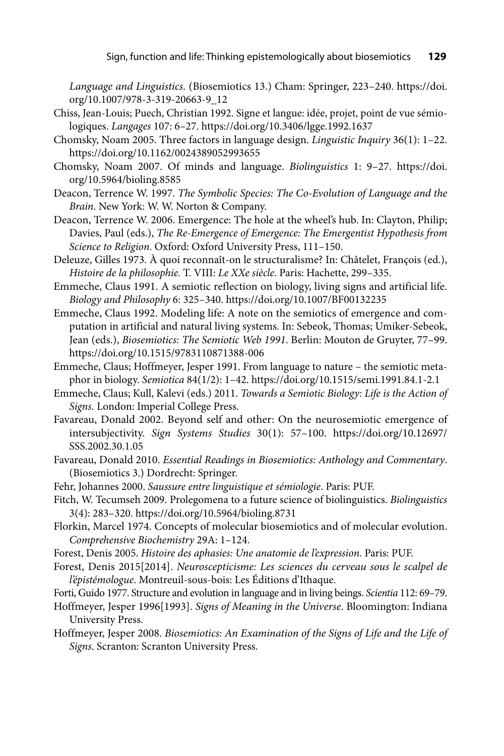*Language and Linguistics*[. \(Biosemiotics 13.\) Cham: Springer, 223–240. https://doi.](https://doi.org/10.1007/978-3-319-20663-9_12) org/10.1007/978-3-319-20663-9\_12

- Chiss, Jean-Louis; Puech, Christian 1992. Signe et langue: idée, projet, point de vue sémiologiques. *Langages* 107: 6–27. https://doi.org/10.3406/lgge.1992.1637
- Chomsky, Noam 2005. Three factors in language design. *Linguistic Inquiry* 36(1): 1–22. https://doi.org/10.1162/0024389052993655
- Ch[omsky, Noam 2007. Of minds and language.](https://doi.org/10.5964/bioling.8585) *Biolinguistics* 1: 9–27. https://doi. org/10.5964/bioling.8585
- Deacon, Terrence W. 1997. *The Symbolic Species: The Co-Evolution of Language and the Brain*. New York: W. W. Norton & Company.
- Deacon, Terrence W. 2006. Emergence: The hole at the wheel's hub. In: Clayton, Philip; Davies, Paul (eds.), *The Re-Emergence of Emergence: The Emergentist Hypothesis from Science to Religion*. Oxford: Oxford University Press, 111–150.
- Deleuze, Gilles 1973. À quoi reconnaît-on le structuralisme? In: Châtelet, François (ed.), *Histoire de la philosophie*. T. VIII: *Le XXe siècle*. Paris: Hachette, 299–335.
- Emmeche, Claus 1991. A semiotic reflection on biology, living signs and artificial life. *Biology and Philosophy* 6: 325–340. https://doi.org/10.1007/BF00132235
- Emmeche, Claus 1992. Modeling life: A note on the semiotics of emergence and computation in artificial and natural living systems. In: Sebeok, Thomas; Umiker-Sebeok, Jean (eds.), *Biosemiotics: The Semiotic Web 1991*. Berlin: Mouton de Gruyter, 77–99. https://doi.org/10.1515/9783110871388-006
- Emmeche, Claus; Hoffmeyer, Jesper 1991. From language to nature the semiotic metaphor in biology. *Semiotica* 84(1/2): 1–42. https://doi.org/10.1515/semi.1991.84.1-2.1
- Emmeche, Claus; Kull, Kalevi (eds.) 2011. *Towards a Semiotic Biology: Life is the Action of Signs.* London: Imperial College Press.
- Favareau, Donald 2002. Beyond self and other: On the neurosemiotic emergence of intersubjectivity. *Sign Systems Studies* [30\(1\): 57–100. https://doi.org/10.12697/](https://doi.org/10.12697/SSS.2002.30.1.05) SSS.2002.30.1.05
- Favareau, Donald 2010. *Essential Readings in Biosemiotics: Anthology and Commentary*. (Biosemiotics 3.) Dordrecht: Springer.
- Fehr, Johannes 2000. *Saussure entre linguistique et sémiologie*. Paris: PUF.
- Fitch, W. Tecumseh 2009. Prolegomena to a future science of biolinguistics. *Biolinguistics* 3(4): 283–320. https://doi.org/10.5964/bioling.8731
- Florkin, Marcel 1974. Concepts of molecular biosemiotics and of molecular evolution. *Comprehensive Biochemistry* 29A: 1–124.
- Forest, Denis 2005. *Histoire des aphasies: Une anatomie de l'expression*. Paris: PUF.
- Forest, Denis 2015[2014]. *Neuroscepticisme: Les sciences du cerveau sous le scalpel de l'épistémologue*. Montreuil-sous-bois: Les Éditions d'Ithaque.
- Forti, Guido 1977. Structure and evolution in language and in living beings. *Scientia* 112: 69–79.
- Hoffmeyer, Jesper 1996[1993]. *Signs of Meaning in the Universe*. Bloomington: Indiana University Press.
- Hoffmeyer, Jesper 2008. *Biosemiotics: An Examination of the Signs of Life and the Life of Signs*. Scranton: Scranton University Press.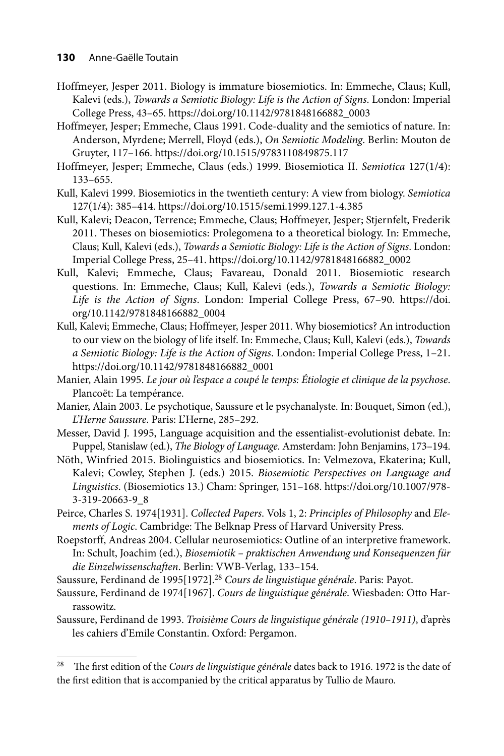- Hoffmeyer, Jesper 2011. Biology is immature biosemiotics. In: Emmeche, Claus; Kull, Kalevi (eds.), *Towards a Semiotic Biology: Life is the Action of Signs*. London: Imperial College Press, 43–65. https://doi.org/10.1142/9781848166882\_0003
- Hoffmeyer, Jesper; Emmeche, Claus 1991. Code-duality and the semiotics of nature. In: Anderson, Myrdene; Merrell, Floyd (eds.), *On Semiotic Modeling*. Berlin: Mouton de Gruyter, 117–166. https://doi.org/10.1515/9783110849875.117
- Hoffmeyer, Jesper; Emmeche, Claus (eds.) 1999. Biosemiotica II. *Semiotica* 127(1/4): 133–655.
- Kull, Kalevi 1999. Biosemiotics in the twentieth century: A view from biology. *Semiotica* 127(1/4): 385–414. https://doi.org/10.1515/semi.1999.127.1-4.385
- Kull, Kalevi; Deacon, Terrence; Emmeche, Claus; Hoffmeyer, Jesper; Stjernfelt, Frederik 2011. Theses on biosemiotics: Prolegomena to a theoretical biology. In: Emmeche, Claus; Kull, Kalevi (eds.), *Towards a Semiotic Biology: Life is the Action of Signs*. London: Imperial College Press, 25–41. https://doi.org/10.1142/9781848166882\_0002
- Kull, Kalevi; Emmeche, Claus; Favareau, Donald 2011. Biosemiotic research questions. In: Emmeche, Claus; Kull, Kalevi (eds.), *Towards a Semiotic Biology: Life is the Action of Signs*[. London: Imperial College Press, 67–90. https://doi.](https://doi.org/10.1142/9781848166882_0004) org/10.1142/9781848166882\_0004
- Kull, Kalevi; Emmeche, Claus; Hoffmeyer, Jesper 2011. Why biosemiotics? An introduction to our view on the biology of life itself. In: Emmeche, Claus; Kull, Kalevi (eds.), *Towards a Semiotic Biology: Life is the Action of Signs*. London: Imperial College Press, 1–21. https://doi.org/10.1142/9781848166882\_0001
- Manier, Alain 1995. *Le jour où l'espace a coupé le temps: Étiologie et clinique de la psychose*. Plancoët: La tempérance.
- Manier, Alain 2003. Le psychotique, Saussure et le psychanalyste. In: Bouquet, Simon (ed.), *L'Herne Saussure*. Paris: L'Herne, 285–292.
- Messer, David J. 1995, Language acquisition and the essentialist-evolutionist debate. In: Puppel, Stanislaw (ed.), *The Biology of Language*. Amsterdam: John Benjamins, 173–194.
- Nöth, Winfried 2015. Biolinguistics and biosemiotics. In: Velmezova, Ekaterina; Kull, Kalevi; Cowley, Stephen J. (eds.) 2015. *Biosemiotic Perspectives on Language and Linguistics*. (Biosemiotics 13.) Cham: Springer, 151–168. https://doi.org/10.1007/978- 3-319-20663-9\_8
- Peirce, Charles S. 1974[1931]. *Collected Papers*. Vols 1, 2: *Principles of Philosophy* and *Elements of Logic*. Cambridge: The Belknap Press of Harvard University Press.
- Roepstorff, Andreas 2004. Cellular neurosemiotics: Outline of an interpretive framework. In: Schult, Joachim (ed.), *Biosemiotik – praktischen Anwendung und Konsequenzen für die Einzelwissenschaften*. Berlin: VWB-Verlag, 133–154.
- Saussure, Ferdinand de 1995[1972].<sup>28</sup> Cours de linguistique générale. Paris: Payot.
- Saussure, Ferdinand de 1974[1967]. *Cours de linguistique générale*. Wiesbaden: Otto Harrassowitz.
- Saussure, Ferdinand de 1993. *Troisième Cours de linguistique générale (1910–1911)*, d'après les cahiers d'Emile Constantin. Oxford: Pergamon.

The first edition of the *Cours de linguistique générale* dates back to 1916. 1972 is the date of the first edition that is accompanied by the critical apparatus by Tullio de Mauro.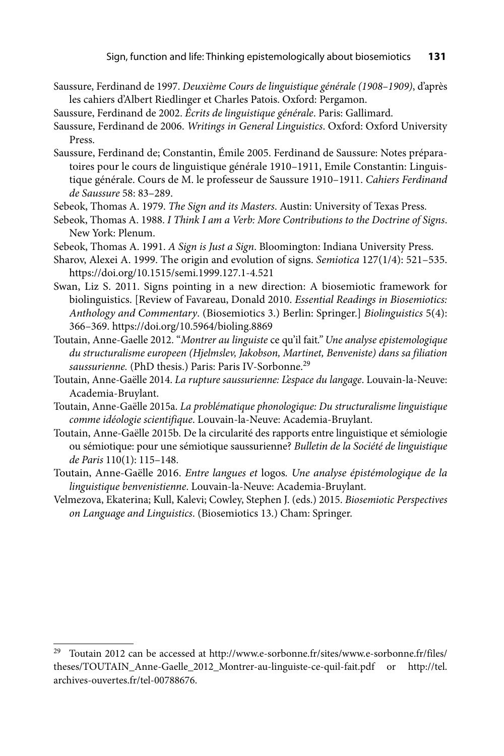- Saussure, Ferdinand de 1997. *Deuxième Cours de linguistique générale (1908–1909)*, d'après les cahiers d'Albert Riedlinger et Charles Patois. Oxford: Pergamon.
- Saussure, Ferdinand de 2002. *Écrits de linguistique générale*. Paris: Gallimard.
- Saussure, Ferdinand de 2006. *Writings in General Linguistics*. Oxford: Oxford University Press.
- Saussure, Ferdinand de; Constantin, Émile 2005. Ferdinand de Saussure: Notes préparatoires pour le cours de linguistique générale 1910–1911, Emile Constantin: Linguistique générale. Cours de M. le professeur de Saussure 1910–1911. *Cahiers Ferdinand de Saussure* 58: 83–289.
- Sebeok, Thomas A. 1979. *The Sign and its Masters*. Austin: University of Texas Press.
- Sebeok, Thomas A. 1988. *I Think I am a Verb: More Contributions to the Doctrine of Signs*. New York: Plenum.
- Sebeok, Thomas A. 1991. *A Sign is Just a Sign*. Bloomington: Indiana University Press.
- Sharov, Alexei A. 1999. The origin and evolution of signs. *Semiotica* 127(1/4): 521–535. https://doi.org/10.1515/semi.1999.127.1-4.521
- Swan, Liz S. 2011. Signs pointing in a new direction: A biosemiotic framework for biolinguistics. [Review of Favareau, Donald 2010. *Essential Readings in Biosemiotics: Anthology and Commentary*. (Biosemiotics 3.) Berlin: Springer.] *Biolinguistics* 5(4): 366–369. https://doi.org/10.5964/bioling.8869
- Toutain, Anne-Gaelle 2012. "*Montrer au linguiste* ce qu'il fait*." Une analyse epistemologique du structuralisme europeen (Hjelmslev, Jakobson, Martinet, Benveniste) dans sa filiation saussurienne.* (PhD thesis.) Paris: Paris IV-Sorbonne.29
- Toutain, Anne-Gaëlle 2014. *La rupture saussurienne: L'espace du langage*. Louvain-la-Neuve: Academia-Bruylant.
- Toutain, Anne-Gaëlle 2015a. *La problématique phonologique: Du structuralisme linguistique comme idéologie scientifique*. Louvain-la-Neuve: Academia-Bruylant.
- Toutain, Anne-Gaëlle 2015b. De la circularité des rapports entre linguistique et sémiologie ou sémiotique: pour une sémiotique saussurienne? *Bulletin de la Société de linguistique de Paris* 110(1): 115–148.
- Toutain, Anne-Gaëlle 2016. *Entre langues et* logos*. Une analyse épistémologique de la linguistique benvenistienne*. Louvain-la-Neuve: Academia-Bruylant.
- Velmezova, Ekaterina; Kull, Kalevi; Cowley, Stephen J. (eds.) 2015. *Biosemiotic Perspectives on Language and Linguistics*. (Biosemiotics 13.) Cham: Springer.

<sup>&</sup>lt;sup>29</sup> Toutain 2012 can be accessed at http://www.e-sorbonne.fr/sites/www.e-sorbonne.fr/files/ theses/TOUTAIN\_Anne-Gaelle\_2012\_Montrer-au-linguiste-ce-quil-fait.pdf or http://tel. archives-ouvertes.fr/tel-00788676.